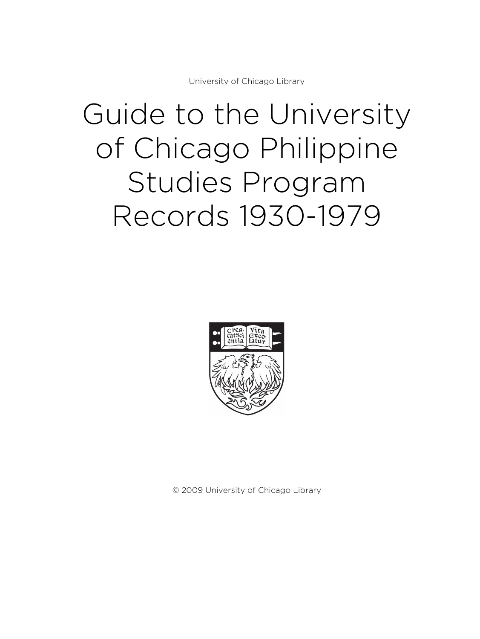University of Chicago Library

# Guide to the University of Chicago Philippine Studies Program Records 1930-1979



© 2009 University of Chicago Library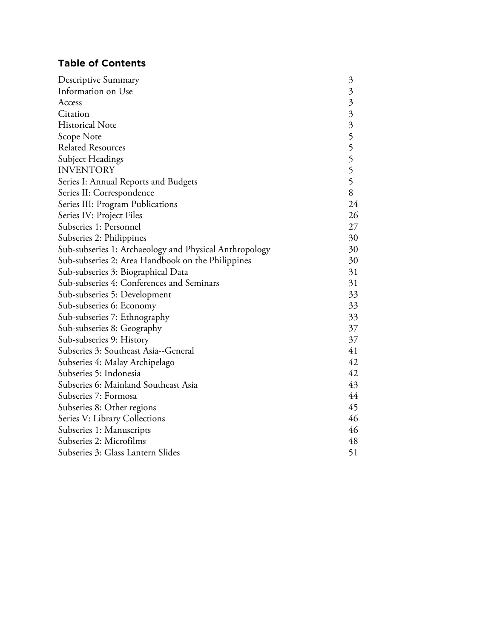# **Table of Contents**

| Descriptive Summary                                    | $\mathfrak{Z}$ |
|--------------------------------------------------------|----------------|
| Information on Use                                     | $\mathfrak{Z}$ |
| Access                                                 | $\mathfrak{Z}$ |
| Citation                                               |                |
| <b>Historical Note</b>                                 | 3355555        |
| Scope Note                                             |                |
| <b>Related Resources</b>                               |                |
| Subject Headings                                       |                |
| <b>INVENTORY</b>                                       |                |
| Series I: Annual Reports and Budgets                   |                |
| Series II: Correspondence                              | 8              |
| Series III: Program Publications                       | 24             |
| Series IV: Project Files                               | 26             |
| Subseries 1: Personnel                                 | 27             |
| Subseries 2: Philippines                               | 30             |
| Sub-subseries 1: Archaeology and Physical Anthropology | 30             |
| Sub-subseries 2: Area Handbook on the Philippines      | 30             |
| Sub-subseries 3: Biographical Data                     | 31             |
| Sub-subseries 4: Conferences and Seminars              | 31             |
| Sub-subseries 5: Development                           | 33             |
| Sub-subseries 6: Economy                               | 33             |
| Sub-subseries 7: Ethnography                           | 33             |
| Sub-subseries 8: Geography                             | 37             |
| Sub-subseries 9: History                               | 37             |
| Subseries 3: Southeast Asia--General                   | 41             |
| Subseries 4: Malay Archipelago                         | 42             |
| Subseries 5: Indonesia                                 | 42             |
| Subseries 6: Mainland Southeast Asia                   | 43             |
| Subseries 7: Formosa                                   | 44             |
| Subseries 8: Other regions                             | 45             |
| Series V: Library Collections                          | 46             |
| Subseries 1: Manuscripts                               | 46             |
| Subseries 2: Microfilms                                | 48             |
| Subseries 3: Glass Lantern Slides                      | 51             |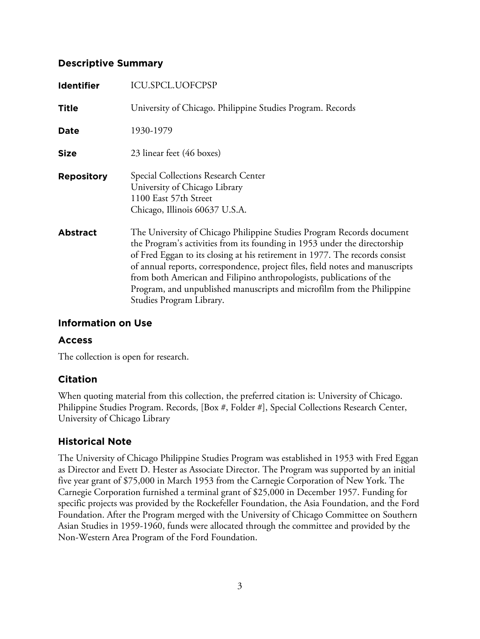# **Descriptive Summary**

| <b>Identifier</b> | <b>ICU.SPCL.UOFCPSP</b>                                                                                                                                                                                                                                                                                                                                                                                                                                                                          |
|-------------------|--------------------------------------------------------------------------------------------------------------------------------------------------------------------------------------------------------------------------------------------------------------------------------------------------------------------------------------------------------------------------------------------------------------------------------------------------------------------------------------------------|
| <b>Title</b>      | University of Chicago. Philippine Studies Program. Records                                                                                                                                                                                                                                                                                                                                                                                                                                       |
| Date              | 1930-1979                                                                                                                                                                                                                                                                                                                                                                                                                                                                                        |
| <b>Size</b>       | 23 linear feet (46 boxes)                                                                                                                                                                                                                                                                                                                                                                                                                                                                        |
| <b>Repository</b> | Special Collections Research Center<br>University of Chicago Library<br>1100 East 57th Street<br>Chicago, Illinois 60637 U.S.A.                                                                                                                                                                                                                                                                                                                                                                  |
| <b>Abstract</b>   | The University of Chicago Philippine Studies Program Records document<br>the Program's activities from its founding in 1953 under the directorship<br>of Fred Eggan to its closing at his retirement in 1977. The records consist<br>of annual reports, correspondence, project files, field notes and manuscripts<br>from both American and Filipino anthropologists, publications of the<br>Program, and unpublished manuscripts and microfilm from the Philippine<br>Studies Program Library. |

# **Information on Use**

### **Access**

The collection is open for research.

# **Citation**

When quoting material from this collection, the preferred citation is: University of Chicago. Philippine Studies Program. Records, [Box #, Folder #], Special Collections Research Center, University of Chicago Library

# **Historical Note**

The University of Chicago Philippine Studies Program was established in 1953 with Fred Eggan as Director and Evett D. Hester as Associate Director. The Program was supported by an initial five year grant of \$75,000 in March 1953 from the Carnegie Corporation of New York. The Carnegie Corporation furnished a terminal grant of \$25,000 in December 1957. Funding for specific projects was provided by the Rockefeller Foundation, the Asia Foundation, and the Ford Foundation. After the Program merged with the University of Chicago Committee on Southern Asian Studies in 1959-1960, funds were allocated through the committee and provided by the Non-Western Area Program of the Ford Foundation.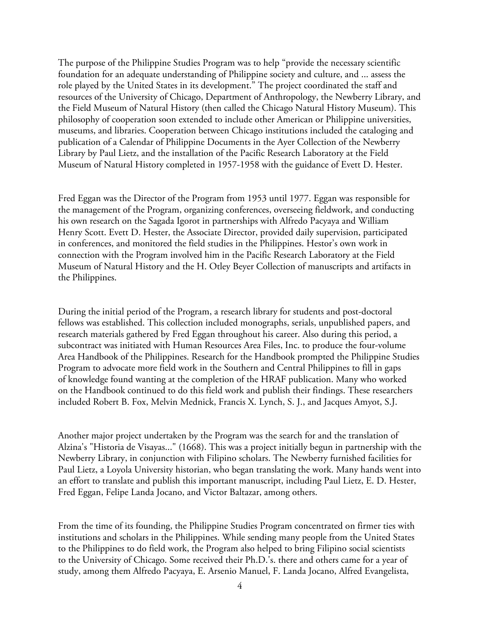The purpose of the Philippine Studies Program was to help "provide the necessary scientific foundation for an adequate understanding of Philippine society and culture, and ... assess the role played by the United States in its development." The project coordinated the staff and resources of the University of Chicago, Department of Anthropology, the Newberry Library, and the Field Museum of Natural History (then called the Chicago Natural History Museum). This philosophy of cooperation soon extended to include other American or Philippine universities, museums, and libraries. Cooperation between Chicago institutions included the cataloging and publication of a Calendar of Philippine Documents in the Ayer Collection of the Newberry Library by Paul Lietz, and the installation of the Pacific Research Laboratory at the Field Museum of Natural History completed in 1957-1958 with the guidance of Evett D. Hester.

Fred Eggan was the Director of the Program from 1953 until 1977. Eggan was responsible for the management of the Program, organizing conferences, overseeing fieldwork, and conducting his own research on the Sagada Igorot in partnerships with Alfredo Pacyaya and William Henry Scott. Evett D. Hester, the Associate Director, provided daily supervision, participated in conferences, and monitored the field studies in the Philippines. Hestor's own work in connection with the Program involved him in the Pacific Research Laboratory at the Field Museum of Natural History and the H. Otley Beyer Collection of manuscripts and artifacts in the Philippines.

During the initial period of the Program, a research library for students and post-doctoral fellows was established. This collection included monographs, serials, unpublished papers, and research materials gathered by Fred Eggan throughout his career. Also during this period, a subcontract was initiated with Human Resources Area Files, Inc. to produce the four-volume Area Handbook of the Philippines. Research for the Handbook prompted the Philippine Studies Program to advocate more field work in the Southern and Central Philippines to fill in gaps of knowledge found wanting at the completion of the HRAF publication. Many who worked on the Handbook continued to do this field work and publish their findings. These researchers included Robert B. Fox, Melvin Mednick, Francis X. Lynch, S. J., and Jacques Amyot, S.J.

Another major project undertaken by the Program was the search for and the translation of Alzina's "Historia de Visayas..." (1668). This was a project initially begun in partnership with the Newberry Library, in conjunction with Filipino scholars. The Newberry furnished facilities for Paul Lietz, a Loyola University historian, who began translating the work. Many hands went into an effort to translate and publish this important manuscript, including Paul Lietz, E. D. Hester, Fred Eggan, Felipe Landa Jocano, and Victor Baltazar, among others.

From the time of its founding, the Philippine Studies Program concentrated on firmer ties with institutions and scholars in the Philippines. While sending many people from the United States to the Philippines to do field work, the Program also helped to bring Filipino social scientists to the University of Chicago. Some received their Ph.D.'s. there and others came for a year of study, among them Alfredo Pacyaya, E. Arsenio Manuel, F. Landa Jocano, Alfred Evangelista,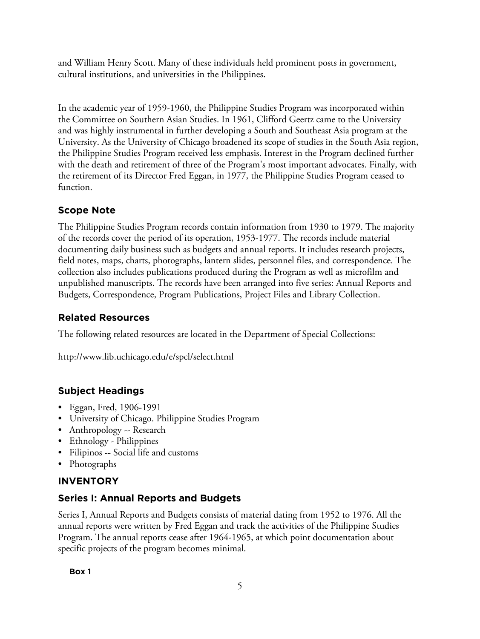and William Henry Scott. Many of these individuals held prominent posts in government, cultural institutions, and universities in the Philippines.

In the academic year of 1959-1960, the Philippine Studies Program was incorporated within the Committee on Southern Asian Studies. In 1961, Clifford Geertz came to the University and was highly instrumental in further developing a South and Southeast Asia program at the University. As the University of Chicago broadened its scope of studies in the South Asia region, the Philippine Studies Program received less emphasis. Interest in the Program declined further with the death and retirement of three of the Program's most important advocates. Finally, with the retirement of its Director Fred Eggan, in 1977, the Philippine Studies Program ceased to function.

# **Scope Note**

The Philippine Studies Program records contain information from 1930 to 1979. The majority of the records cover the period of its operation, 1953-1977. The records include material documenting daily business such as budgets and annual reports. It includes research projects, field notes, maps, charts, photographs, lantern slides, personnel files, and correspondence. The collection also includes publications produced during the Program as well as microfilm and unpublished manuscripts. The records have been arranged into five series: Annual Reports and Budgets, Correspondence, Program Publications, Project Files and Library Collection.

# **Related Resources**

The following related resources are located in the Department of Special Collections:

http://www.lib.uchicago.edu/e/spcl/select.html

# **Subject Headings**

- Eggan, Fred, 1906-1991
- University of Chicago. Philippine Studies Program
- Anthropology -- Research
- Ethnology Philippines
- Filipinos -- Social life and customs
- Photographs

# **INVENTORY**

# **Series I: Annual Reports and Budgets**

Series I, Annual Reports and Budgets consists of material dating from 1952 to 1976. All the annual reports were written by Fred Eggan and track the activities of the Philippine Studies Program. The annual reports cease after 1964-1965, at which point documentation about specific projects of the program becomes minimal.

**Box 1**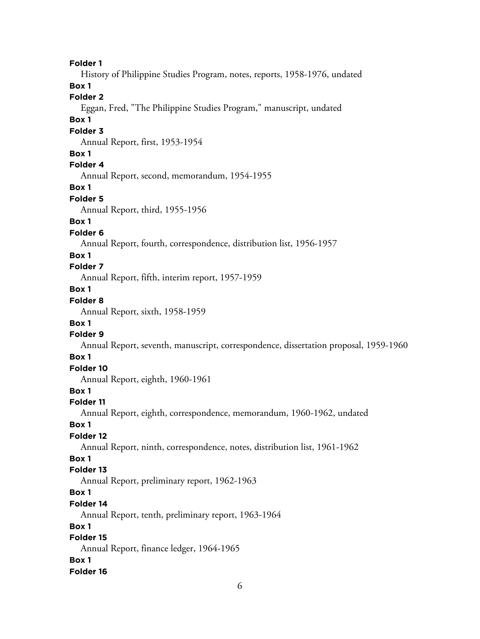**Folder 1** History of Philippine Studies Program, notes, reports, 1958-1976, undated **Box 1 Folder 2** Eggan, Fred, "The Philippine Studies Program," manuscript, undated **Box 1 Folder 3** Annual Report, first, 1953-1954 **Box 1 Folder 4** Annual Report, second, memorandum, 1954-1955 **Box 1 Folder 5** Annual Report, third, 1955-1956 **Box 1 Folder 6** Annual Report, fourth, correspondence, distribution list, 1956-1957 **Box 1 Folder 7** Annual Report, fifth, interim report, 1957-1959 **Box 1 Folder 8** Annual Report, sixth, 1958-1959 **Box 1 Folder 9** Annual Report, seventh, manuscript, correspondence, dissertation proposal, 1959-1960 **Box 1 Folder 10** Annual Report, eighth, 1960-1961 **Box 1 Folder 11** Annual Report, eighth, correspondence, memorandum, 1960-1962, undated **Box 1 Folder 12** Annual Report, ninth, correspondence, notes, distribution list, 1961-1962 **Box 1 Folder 13** Annual Report, preliminary report, 1962-1963 **Box 1 Folder 14** Annual Report, tenth, preliminary report, 1963-1964 **Box 1 Folder 15**

Annual Report, finance ledger, 1964-1965 **Box 1**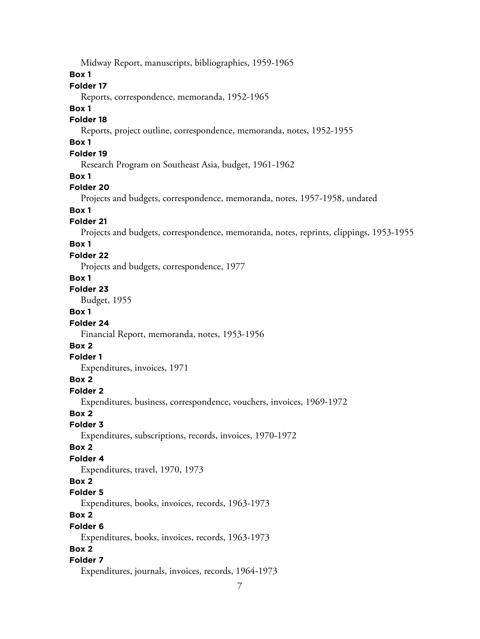Midway Report, manuscripts, bibliographies, 1959-1965

#### **Box 1**

### **Folder 17**

Reports, correspondence, memoranda, 1952-1965

#### **Box 1**

### **Folder 18**

Reports, project outline, correspondence, memoranda, notes, 1952-1955

# **Box 1**

### **Folder 19**

Research Program on Southeast Asia, budget, 1961-1962

#### **Box 1**

#### **Folder 20**

Projects and budgets, correspondence, memoranda, notes, 1957-1958, undated

### **Box 1**

#### **Folder 21**

Projects and budgets, correspondence, memoranda, notes, reprints, clippings, 1953-1955

#### **Box 1**

#### **Folder 22**

Projects and budgets, correspondence, 1977

#### **Box 1**

**Folder 23**

Budget, 1955

### **Box 1**

#### **Folder 24**

Financial Report, memoranda, notes, 1953-1956

#### **Box 2**

#### **Folder 1**

Expenditures, invoices, 1971

#### **Box 2**

### **Folder 2**

Expenditures, business, correspondence, vouchers, invoices, 1969-1972

#### **Box 2**

#### **Folder 3**

Expenditures, subscriptions, records, invoices, 1970-1972

#### **Box 2**

#### **Folder 4**

Expenditures, travel, 1970, 1973

### **Box 2**

#### **Folder 5**

Expenditures, books, invoices, records, 1963-1973

## **Box 2**

#### **Folder 6**

Expenditures, books, invoices, records, 1963-1973

### **Box 2**

#### **Folder 7**

Expenditures, journals, invoices, records, 1964-1973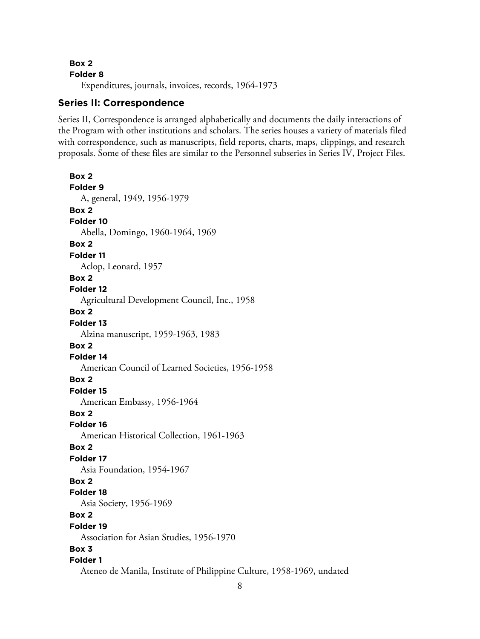**Folder 8**

Expenditures, journals, invoices, records, 1964-1973

### **Series II: Correspondence**

Series II, Correspondence is arranged alphabetically and documents the daily interactions of the Program with other institutions and scholars. The series houses a variety of materials filed with correspondence, such as manuscripts, field reports, charts, maps, clippings, and research proposals. Some of these files are similar to the Personnel subseries in Series IV, Project Files.

**Box 2 Folder 9** A, general, 1949, 1956-1979 **Box 2 Folder 10** Abella, Domingo, 1960-1964, 1969 **Box 2 Folder 11** Aclop, Leonard, 1957 **Box 2 Folder 12** Agricultural Development Council, Inc., 1958 **Box 2 Folder 13** Alzina manuscript, 1959-1963, 1983 **Box 2 Folder 14** American Council of Learned Societies, 1956-1958 **Box 2 Folder 15** American Embassy, 1956-1964 **Box 2 Folder 16** American Historical Collection, 1961-1963 **Box 2 Folder 17** Asia Foundation, 1954-1967 **Box 2 Folder 18** Asia Society, 1956-1969 **Box 2 Folder 19** Association for Asian Studies, 1956-1970 **Box 3 Folder 1** Ateneo de Manila, Institute of Philippine Culture, 1958-1969, undated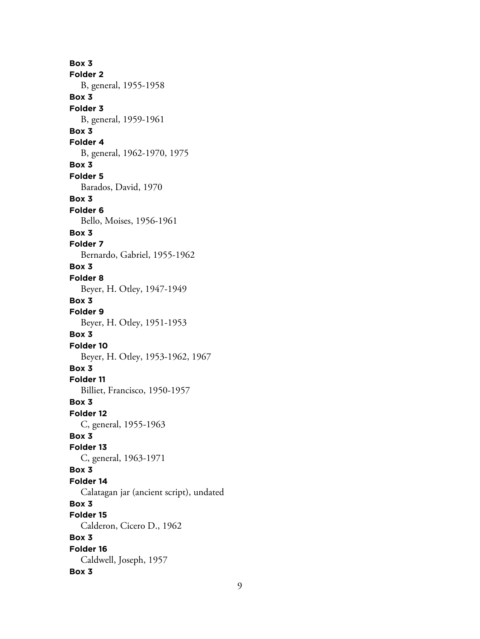**Box 3 Folder 2** B, general, 1955-1958 **Box 3 Folder 3** B, general, 1959-1961 **Box 3 Folder 4** B, general, 1962-1970, 1975 **Box 3 Folder 5** Barados, David, 1970 **Box 3 Folder 6** Bello, Moises, 1956-1961 **Box 3 Folder 7** Bernardo, Gabriel, 1955-1962 **Box 3 Folder 8** Beyer, H. Otley, 1947-1949 **Box 3 Folder 9** Beyer, H. Otley, 1951-1953 **Box 3 Folder 10** Beyer, H. Otley, 1953-1962, 1967 **Box 3 Folder 11** Billiet, Francisco, 1950-1957 **Box 3 Folder 12** C, general, 1955-1963 **Box 3 Folder 13** C, general, 1963-1971 **Box 3 Folder 14** Calatagan jar (ancient script), undated **Box 3 Folder 15** Calderon, Cicero D., 1962 **Box 3 Folder 16** Caldwell, Joseph, 1957 **Box 3**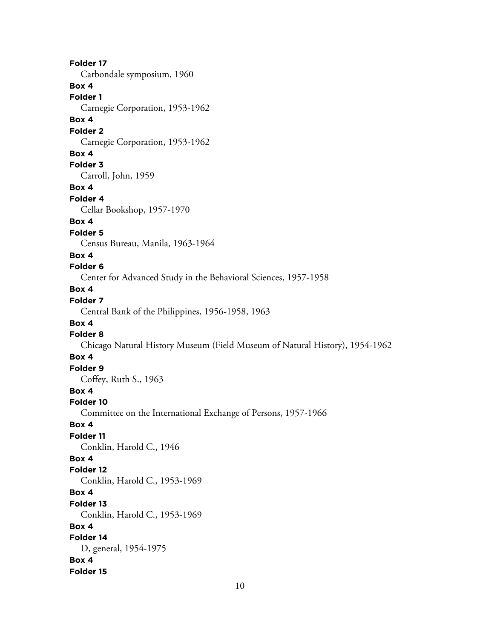**Folder 17** Carbondale symposium, 1960 **Box 4 Folder 1** Carnegie Corporation, 1953-1962 **Box 4 Folder 2** Carnegie Corporation, 1953-1962 **Box 4 Folder 3** Carroll, John, 1959 **Box 4 Folder 4** Cellar Bookshop, 1957-1970 **Box 4 Folder 5** Census Bureau, Manila, 1963-1964 **Box 4 Folder 6** Center for Advanced Study in the Behavioral Sciences, 1957-1958 **Box 4 Folder 7** Central Bank of the Philippines, 1956-1958, 1963 **Box 4 Folder 8** Chicago Natural History Museum (Field Museum of Natural History), 1954-1962 **Box 4 Folder 9** Coffey, Ruth S., 1963 **Box 4 Folder 10** Committee on the International Exchange of Persons, 1957-1966 **Box 4 Folder 11** Conklin, Harold C., 1946 **Box 4 Folder 12** Conklin, Harold C., 1953-1969 **Box 4 Folder 13** Conklin, Harold C., 1953-1969 **Box 4 Folder 14** D, general, 1954-1975 **Box 4 Folder 15**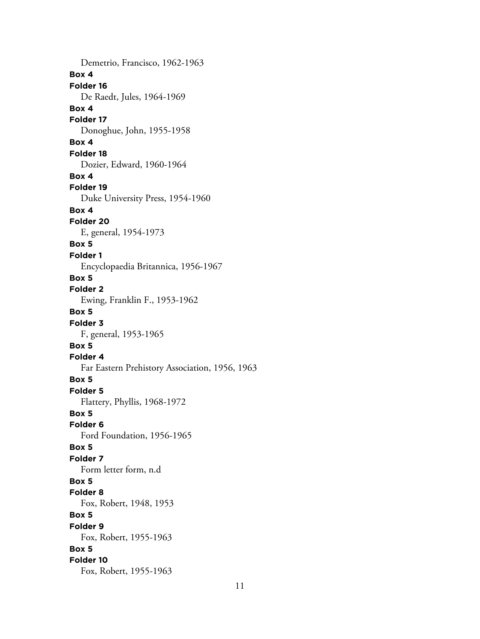Demetrio, Francisco, 1962-1963 **Box 4 Folder 16** De Raedt, Jules, 1964-1969 **Box 4 Folder 17** Donoghue, John, 1955-1958 **Box 4 Folder 18** Dozier, Edward, 1960-1964 **Box 4 Folder 19** Duke University Press, 1954-1960 **Box 4 Folder 20** E, general, 1954-1973 **Box 5 Folder 1** Encyclopaedia Britannica, 1956-1967 **Box 5 Folder 2** Ewing, Franklin F., 1953-1962 **Box 5 Folder 3** F, general, 1953-1965 **Box 5 Folder 4** Far Eastern Prehistory Association, 1956, 1963 **Box 5 Folder 5** Flattery, Phyllis, 1968-1972 **Box 5 Folder 6** Ford Foundation, 1956-1965 **Box 5 Folder 7** Form letter form, n.d **Box 5 Folder 8** Fox, Robert, 1948, 1953 **Box 5 Folder 9** Fox, Robert, 1955-1963 **Box 5 Folder 10** Fox, Robert, 1955-1963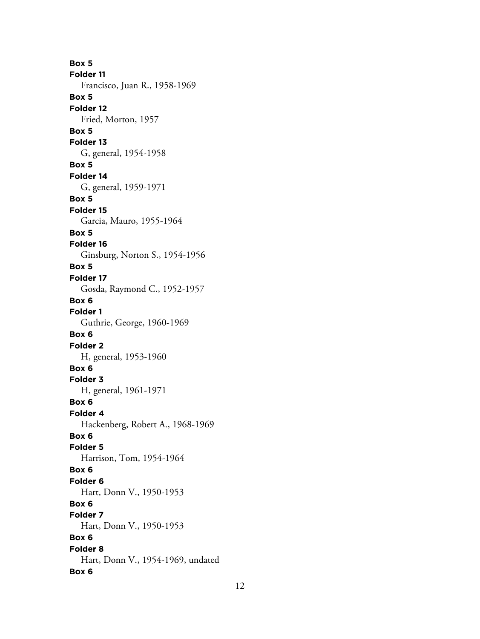**Box 5 Folder 11** Francisco, Juan R., 1958-1969 **Box 5 Folder 12** Fried, Morton, 1957 **Box 5 Folder 13** G, general, 1954-1958 **Box 5 Folder 14** G, general, 1959-1971 **Box 5 Folder 15** Garcia, Mauro, 1955-1964 **Box 5 Folder 16** Ginsburg, Norton S., 1954-1956 **Box 5 Folder 17** Gosda, Raymond C., 1952-1957 **Box 6 Folder 1** Guthrie, George, 1960-1969 **Box 6 Folder 2** H, general, 1953-1960 **Box 6 Folder 3** H, general, 1961-1971 **Box 6 Folder 4** Hackenberg, Robert A., 1968-1969 **Box 6 Folder 5** Harrison, Tom, 1954-1964 **Box 6 Folder 6** Hart, Donn V., 1950-1953 **Box 6 Folder 7** Hart, Donn V., 1950-1953 **Box 6 Folder 8** Hart, Donn V., 1954-1969, undated **Box 6**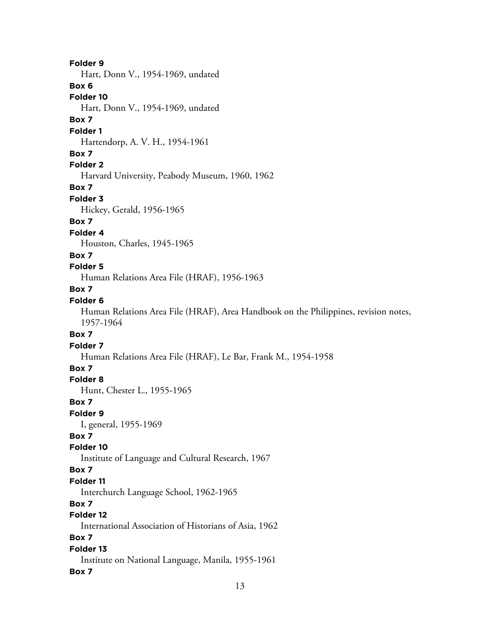# **Folder 9** Hart, Donn V., 1954-1969, undated **Box 6 Folder 10** Hart, Donn V., 1954-1969, undated **Box 7 Folder 1** Hartendorp, A. V. H., 1954-1961 **Box 7 Folder 2** Harvard University, Peabody Museum, 1960, 1962 **Box 7 Folder 3** Hickey, Gerald, 1956-1965 **Box 7 Folder 4** Houston, Charles, 1945-1965 **Box 7 Folder 5** Human Relations Area File (HRAF), 1956-1963 **Box 7 Folder 6** Human Relations Area File (HRAF), Area Handbook on the Philippines, revision notes, 1957-1964 **Box 7 Folder 7** Human Relations Area File (HRAF), Le Bar, Frank M., 1954-1958 **Box 7 Folder 8** Hunt, Chester L., 1955-1965 **Box 7 Folder 9** I, general, 1955-1969 **Box 7 Folder 10** Institute of Language and Cultural Research, 1967 **Box 7 Folder 11** Interchurch Language School, 1962-1965 **Box 7 Folder 12** International Association of Historians of Asia, 1962 **Box 7 Folder 13** Institute on National Language, Manila, 1955-1961 **Box 7**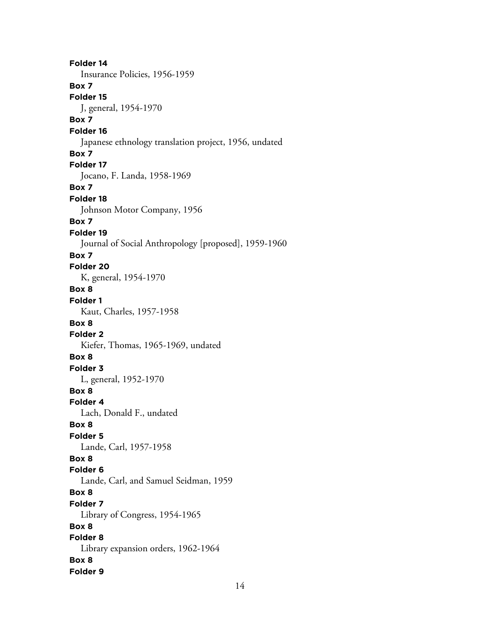**Folder 14** Insurance Policies, 1956-1959 **Box 7 Folder 15** J, general, 1954-1970 **Box 7 Folder 16** Japanese ethnology translation project, 1956, undated **Box 7 Folder 17** Jocano, F. Landa, 1958-1969 **Box 7 Folder 18** Johnson Motor Company, 1956 **Box 7 Folder 19** Journal of Social Anthropology [proposed], 1959-1960 **Box 7 Folder 20** K, general, 1954-1970 **Box 8 Folder 1** Kaut, Charles, 1957-1958 **Box 8 Folder 2** Kiefer, Thomas, 1965-1969, undated **Box 8 Folder 3** L, general, 1952-1970 **Box 8 Folder 4** Lach, Donald F., undated **Box 8 Folder 5** Lande, Carl, 1957-1958 **Box 8 Folder 6** Lande, Carl, and Samuel Seidman, 1959 **Box 8 Folder 7** Library of Congress, 1954-1965 **Box 8 Folder 8** Library expansion orders, 1962-1964 **Box 8 Folder 9**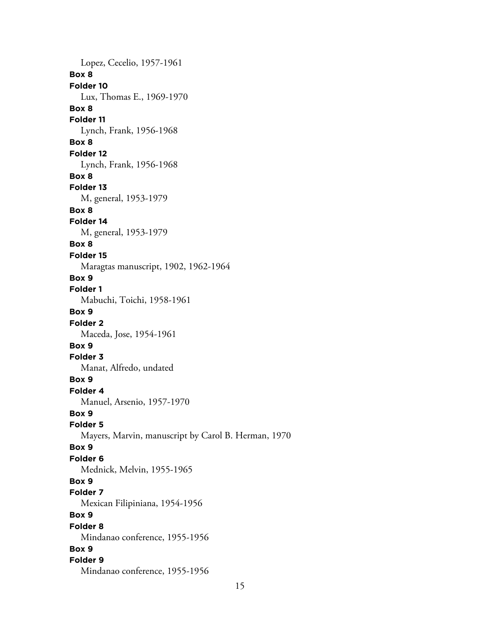Lopez, Cecelio, 1957-1961 **Box 8 Folder 10** Lux, Thomas E., 1969-1970 **Box 8 Folder 11** Lynch, Frank, 1956-1968 **Box 8 Folder 12** Lynch, Frank, 1956-1968 **Box 8 Folder 13** M, general, 1953-1979 **Box 8 Folder 14** M, general, 1953-1979 **Box 8 Folder 15** Maragtas manuscript, 1902, 1962-1964 **Box 9 Folder 1** Mabuchi, Toichi, 1958-1961 **Box 9 Folder 2** Maceda, Jose, 1954-1961 **Box 9 Folder 3** Manat, Alfredo, undated **Box 9 Folder 4** Manuel, Arsenio, 1957-1970 **Box 9 Folder 5** Mayers, Marvin, manuscript by Carol B. Herman, 1970 **Box 9 Folder 6** Mednick, Melvin, 1955-1965 **Box 9 Folder 7** Mexican Filipiniana, 1954-1956 **Box 9 Folder 8** Mindanao conference, 1955-1956 **Box 9 Folder 9** Mindanao conference, 1955-1956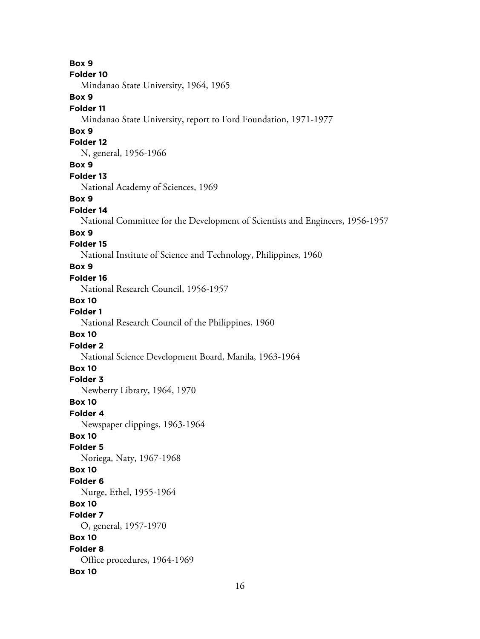**Box 9 Folder 10** Mindanao State University, 1964, 1965 **Box 9 Folder 11** Mindanao State University, report to Ford Foundation, 1971-1977 **Box 9 Folder 12** N, general, 1956-1966 **Box 9 Folder 13** National Academy of Sciences, 1969 **Box 9 Folder 14** National Committee for the Development of Scientists and Engineers, 1956-1957 **Box 9 Folder 15** National Institute of Science and Technology, Philippines, 1960 **Box 9 Folder 16** National Research Council, 1956-1957 **Box 10 Folder 1** National Research Council of the Philippines, 1960 **Box 10 Folder 2** National Science Development Board, Manila, 1963-1964 **Box 10 Folder 3** Newberry Library, 1964, 1970 **Box 10 Folder 4** Newspaper clippings, 1963-1964 **Box 10 Folder 5** Noriega, Naty, 1967-1968 **Box 10 Folder 6** Nurge, Ethel, 1955-1964 **Box 10 Folder 7** O, general, 1957-1970 **Box 10 Folder 8** Office procedures, 1964-1969 **Box 10**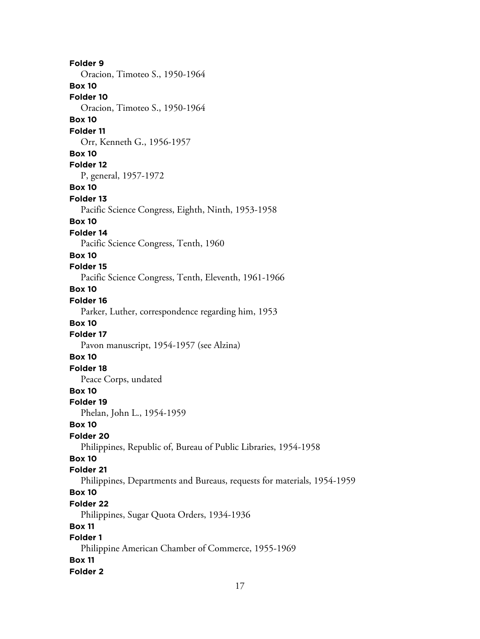**Folder 9** Oracion, Timoteo S., 1950-1964 **Box 10 Folder 10** Oracion, Timoteo S., 1950-1964 **Box 10 Folder 11** Orr, Kenneth G., 1956-1957 **Box 10 Folder 12** P, general, 1957-1972 **Box 10 Folder 13** Pacific Science Congress, Eighth, Ninth, 1953-1958 **Box 10 Folder 14** Pacific Science Congress, Tenth, 1960 **Box 10 Folder 15** Pacific Science Congress, Tenth, Eleventh, 1961-1966 **Box 10 Folder 16** Parker, Luther, correspondence regarding him, 1953 **Box 10 Folder 17** Pavon manuscript, 1954-1957 (see Alzina) **Box 10 Folder 18** Peace Corps, undated **Box 10 Folder 19** Phelan, John L., 1954-1959 **Box 10 Folder 20** Philippines, Republic of, Bureau of Public Libraries, 1954-1958 **Box 10 Folder 21** Philippines, Departments and Bureaus, requests for materials, 1954-1959 **Box 10 Folder 22** Philippines, Sugar Quota Orders, 1934-1936 **Box 11 Folder 1** Philippine American Chamber of Commerce, 1955-1969 **Box 11 Folder 2**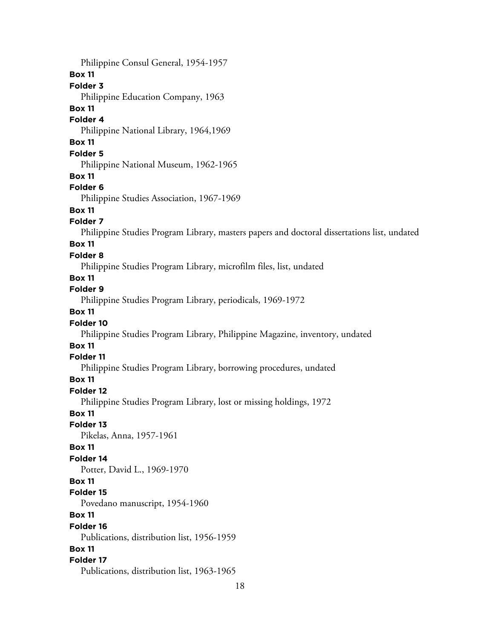18 Philippine Consul General, 1954-1957 **Box 11 Folder 3** Philippine Education Company, 1963 **Box 11 Folder 4** Philippine National Library, 1964,1969 **Box 11 Folder 5** Philippine National Museum, 1962-1965 **Box 11 Folder 6** Philippine Studies Association, 1967-1969 **Box 11 Folder 7** Philippine Studies Program Library, masters papers and doctoral dissertations list, undated **Box 11 Folder 8** Philippine Studies Program Library, microfilm files, list, undated **Box 11 Folder 9** Philippine Studies Program Library, periodicals, 1969-1972 **Box 11 Folder 10** Philippine Studies Program Library, Philippine Magazine, inventory, undated **Box 11 Folder 11** Philippine Studies Program Library, borrowing procedures, undated **Box 11 Folder 12** Philippine Studies Program Library, lost or missing holdings, 1972 **Box 11 Folder 13** Pikelas, Anna, 1957-1961 **Box 11 Folder 14** Potter, David L., 1969-1970 **Box 11 Folder 15** Povedano manuscript, 1954-1960 **Box 11 Folder 16** Publications, distribution list, 1956-1959 **Box 11 Folder 17** Publications, distribution list, 1963-1965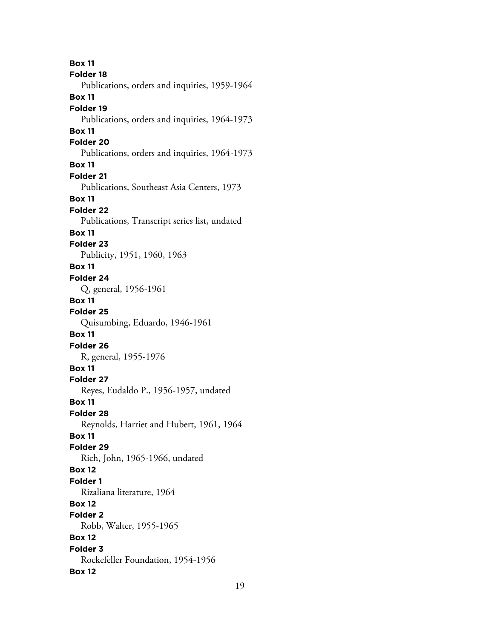**Box 11 Folder 18** Publications, orders and inquiries, 1959-1964 **Box 11 Folder 19** Publications, orders and inquiries, 1964-1973 **Box 11 Folder 20** Publications, orders and inquiries, 1964-1973 **Box 11 Folder 21** Publications, Southeast Asia Centers, 1973 **Box 11 Folder 22** Publications, Transcript series list, undated **Box 11 Folder 23** Publicity, 1951, 1960, 1963 **Box 11 Folder 24** Q, general, 1956-1961 **Box 11 Folder 25** Quisumbing, Eduardo, 1946-1961 **Box 11 Folder 26** R, general, 1955-1976 **Box 11 Folder 27** Reyes, Eudaldo P., 1956-1957, undated **Box 11 Folder 28** Reynolds, Harriet and Hubert, 1961, 1964 **Box 11 Folder 29** Rich, John, 1965-1966, undated **Box 12 Folder 1** Rizaliana literature, 1964 **Box 12 Folder 2** Robb, Walter, 1955-1965 **Box 12 Folder 3** Rockefeller Foundation, 1954-1956 **Box 12**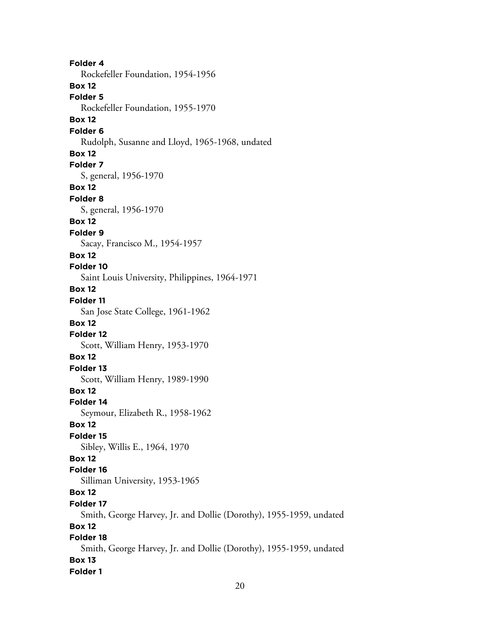**Folder 4** Rockefeller Foundation, 1954-1956 **Box 12 Folder 5** Rockefeller Foundation, 1955-1970 **Box 12 Folder 6** Rudolph, Susanne and Lloyd, 1965-1968, undated **Box 12 Folder 7** S, general, 1956-1970 **Box 12 Folder 8** S, general, 1956-1970 **Box 12 Folder 9** Sacay, Francisco M., 1954-1957 **Box 12 Folder 10** Saint Louis University, Philippines, 1964-1971 **Box 12 Folder 11** San Jose State College, 1961-1962 **Box 12 Folder 12** Scott, William Henry, 1953-1970 **Box 12 Folder 13** Scott, William Henry, 1989-1990 **Box 12 Folder 14** Seymour, Elizabeth R., 1958-1962 **Box 12 Folder 15** Sibley, Willis E., 1964, 1970 **Box 12 Folder 16** Silliman University, 1953-1965 **Box 12 Folder 17** Smith, George Harvey, Jr. and Dollie (Dorothy), 1955-1959, undated **Box 12 Folder 18** Smith, George Harvey, Jr. and Dollie (Dorothy), 1955-1959, undated **Box 13 Folder 1**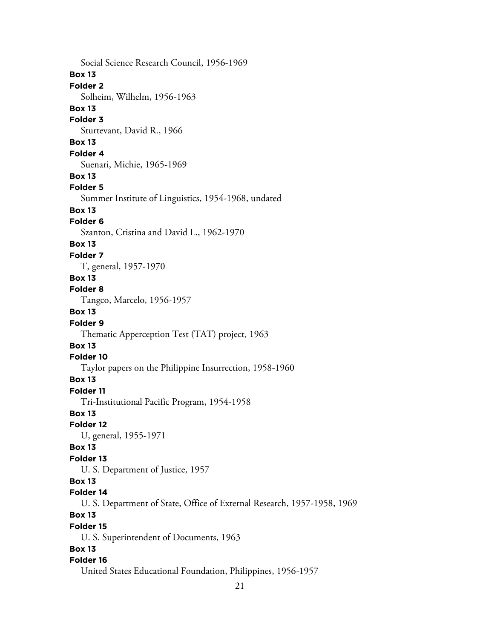Social Science Research Council, 1956-1969 **Box 13 Folder 2** Solheim, Wilhelm, 1956-1963 **Box 13 Folder 3** Sturtevant, David R., 1966 **Box 13 Folder 4** Suenari, Michie, 1965-1969 **Box 13 Folder 5** Summer Institute of Linguistics, 1954-1968, undated **Box 13 Folder 6** Szanton, Cristina and David L., 1962-1970 **Box 13 Folder 7** T, general, 1957-1970 **Box 13 Folder 8** Tangco, Marcelo, 1956-1957 **Box 13 Folder 9** Thematic Apperception Test (TAT) project, 1963 **Box 13 Folder 10** Taylor papers on the Philippine Insurrection, 1958-1960 **Box 13 Folder 11** Tri-Institutional Pacific Program, 1954-1958 **Box 13 Folder 12** U, general, 1955-1971 **Box 13 Folder 13** U. S. Department of Justice, 1957 **Box 13 Folder 14** U. S. Department of State, Office of External Research, 1957-1958, 1969 **Box 13 Folder 15** U. S. Superintendent of Documents, 1963 **Box 13 Folder 16** United States Educational Foundation, Philippines, 1956-1957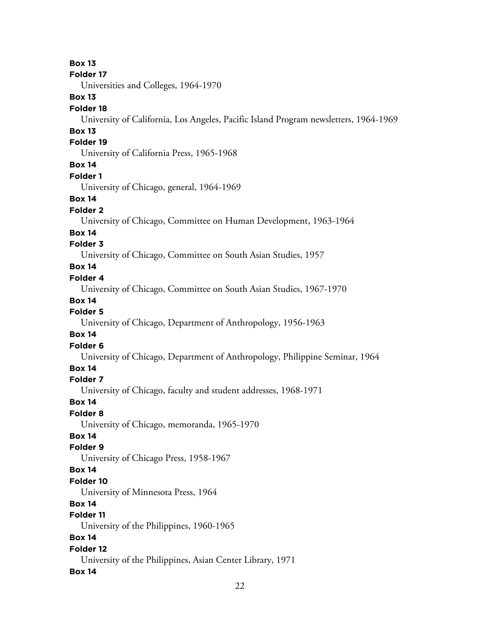**Box 13 Folder 17** Universities and Colleges, 1964-1970 **Box 13 Folder 18** University of California, Los Angeles, Pacific Island Program newsletters, 1964-1969 **Box 13 Folder 19** University of California Press, 1965-1968 **Box 14 Folder 1** University of Chicago, general, 1964-1969 **Box 14 Folder 2** University of Chicago, Committee on Human Development, 1963-1964 **Box 14 Folder 3** University of Chicago, Committee on South Asian Studies, 1957 **Box 14 Folder 4** University of Chicago, Committee on South Asian Studies, 1967-1970 **Box 14 Folder 5** University of Chicago, Department of Anthropology, 1956-1963 **Box 14 Folder 6** University of Chicago, Department of Anthropology, Philippine Seminar, 1964 **Box 14 Folder 7** University of Chicago, faculty and student addresses, 1968-1971 **Box 14 Folder 8** University of Chicago, memoranda, 1965-1970 **Box 14 Folder 9** University of Chicago Press, 1958-1967 **Box 14 Folder 10** University of Minnesota Press, 1964 **Box 14 Folder 11** University of the Philippines, 1960-1965 **Box 14 Folder 12** University of the Philippines, Asian Center Library, 1971 **Box 14**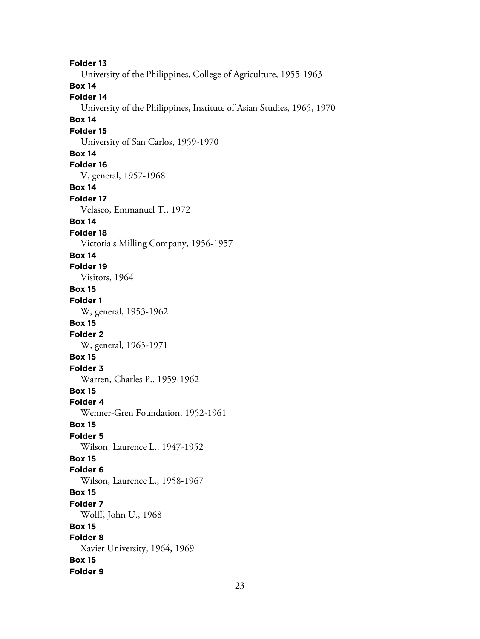**Folder 13** University of the Philippines, College of Agriculture, 1955-1963 **Box 14 Folder 14** University of the Philippines, Institute of Asian Studies, 1965, 1970 **Box 14 Folder 15** University of San Carlos, 1959-1970 **Box 14 Folder 16** V, general, 1957-1968 **Box 14 Folder 17** Velasco, Emmanuel T., 1972 **Box 14 Folder 18** Victoria's Milling Company, 1956-1957 **Box 14 Folder 19** Visitors, 1964 **Box 15 Folder 1** W, general, 1953-1962 **Box 15 Folder 2** W, general, 1963-1971 **Box 15 Folder 3** Warren, Charles P., 1959-1962 **Box 15 Folder 4** Wenner-Gren Foundation, 1952-1961 **Box 15 Folder 5** Wilson, Laurence L., 1947-1952 **Box 15 Folder 6** Wilson, Laurence L., 1958-1967 **Box 15 Folder 7** Wolff, John U., 1968 **Box 15 Folder 8** Xavier University, 1964, 1969 **Box 15 Folder 9**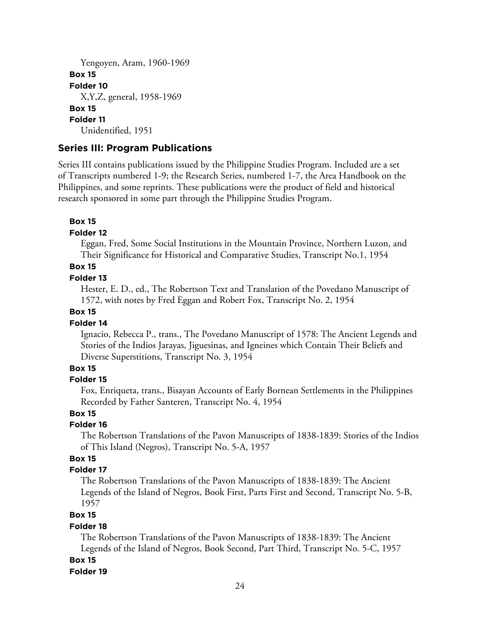```
Yengoyen, Aram, 1960-1969
Box 15
Folder 10
  X,Y,Z, general, 1958-1969
Box 15
Folder 11
  Unidentified, 1951
```
#### **Series III: Program Publications**

Series III contains publications issued by the Philippine Studies Program. Included are a set of Transcripts numbered 1-9; the Research Series, numbered 1-7, the Area Handbook on the Philippines, and some reprints. These publications were the product of field and historical research sponsored in some part through the Philippine Studies Program.

#### **Box 15**

#### **Folder 12**

Eggan, Fred, Some Social Institutions in the Mountain Province, Northern Luzon, and Their Significance for Historical and Comparative Studies, Transcript No.1, 1954

### **Box 15**

#### **Folder 13**

Hester, E. D., ed., The Robertson Text and Translation of the Povedano Manuscript of 1572, with notes by Fred Eggan and Robert Fox, Transcript No. 2, 1954

### **Box 15**

#### **Folder 14**

Ignacio, Rebecca P., trans., The Povedano Manuscript of 1578: The Ancient Legends and Stories of the Indios Jarayas, Jiguesinas, and Igneines which Contain Their Beliefs and Diverse Superstitions, Transcript No. 3, 1954

#### **Box 15**

#### **Folder 15**

Fox, Enriqueta, trans., Bisayan Accounts of Early Bornean Settlements in the Philippines Recorded by Father Santeren, Transcript No. 4, 1954

#### **Box 15**

#### **Folder 16**

The Robertson Translations of the Pavon Manuscripts of 1838-1839: Stories of the Indios of This Island (Negros), Transcript No. 5-A, 1957

### **Box 15**

#### **Folder 17**

The Robertson Translations of the Pavon Manuscripts of 1838-1839: The Ancient Legends of the Island of Negros, Book First, Parts First and Second, Transcript No. 5-B, 1957

#### **Box 15**

#### **Folder 18**

The Robertson Translations of the Pavon Manuscripts of 1838-1839: The Ancient Legends of the Island of Negros, Book Second, Part Third, Transcript No. 5-C, 1957 **Box 15**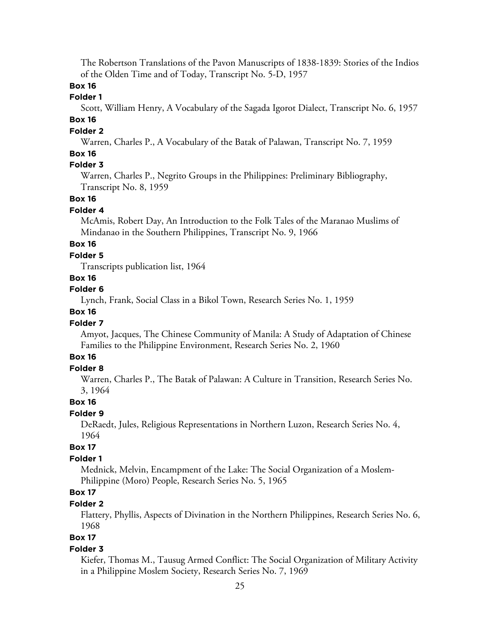The Robertson Translations of the Pavon Manuscripts of 1838-1839: Stories of the Indios of the Olden Time and of Today, Transcript No. 5-D, 1957

# **Box 16**

### **Folder 1**

Scott, William Henry, A Vocabulary of the Sagada Igorot Dialect, Transcript No. 6, 1957

### **Box 16**

#### **Folder 2**

Warren, Charles P., A Vocabulary of the Batak of Palawan, Transcript No. 7, 1959

### **Box 16**

# **Folder 3**

Warren, Charles P., Negrito Groups in the Philippines: Preliminary Bibliography, Transcript No. 8, 1959

### **Box 16**

#### **Folder 4**

McAmis, Robert Day, An Introduction to the Folk Tales of the Maranao Muslims of Mindanao in the Southern Philippines, Transcript No. 9, 1966

# **Box 16**

#### **Folder 5**

Transcripts publication list, 1964

#### **Box 16**

### **Folder 6**

Lynch, Frank, Social Class in a Bikol Town, Research Series No. 1, 1959

#### **Box 16**

#### **Folder 7**

Amyot, Jacques, The Chinese Community of Manila: A Study of Adaptation of Chinese Families to the Philippine Environment, Research Series No. 2, 1960

### **Box 16**

### **Folder 8**

Warren, Charles P., The Batak of Palawan: A Culture in Transition, Research Series No. 3, 1964

#### **Box 16**

#### **Folder 9**

DeRaedt, Jules, Religious Representations in Northern Luzon, Research Series No. 4, 1964

### **Box 17**

### **Folder 1**

Mednick, Melvin, Encampment of the Lake: The Social Organization of a Moslem-Philippine (Moro) People, Research Series No. 5, 1965

# **Box 17**

#### **Folder 2**

Flattery, Phyllis, Aspects of Divination in the Northern Philippines, Research Series No. 6, 1968

# **Box 17**

#### **Folder 3**

Kiefer, Thomas M., Tausug Armed Conflict: The Social Organization of Military Activity in a Philippine Moslem Society, Research Series No. 7, 1969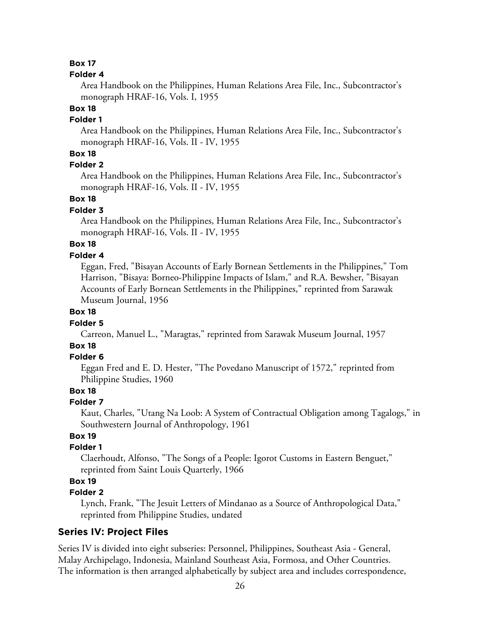#### **Folder 4**

Area Handbook on the Philippines, Human Relations Area File, Inc., Subcontractor's monograph HRAF-16, Vols. I, 1955

### **Box 18**

### **Folder 1**

Area Handbook on the Philippines, Human Relations Area File, Inc., Subcontractor's monograph HRAF-16, Vols. II - IV, 1955

### **Box 18**

### **Folder 2**

Area Handbook on the Philippines, Human Relations Area File, Inc., Subcontractor's monograph HRAF-16, Vols. II - IV, 1955

#### **Box 18**

#### **Folder 3**

Area Handbook on the Philippines, Human Relations Area File, Inc., Subcontractor's monograph HRAF-16, Vols. II - IV, 1955

### **Box 18**

#### **Folder 4**

Eggan, Fred, "Bisayan Accounts of Early Bornean Settlements in the Philippines," Tom Harrison, "Bisaya: Borneo-Philippine Impacts of Islam," and R.A. Bewsher, "Bisayan Accounts of Early Bornean Settlements in the Philippines," reprinted from Sarawak Museum Journal, 1956

#### **Box 18**

#### **Folder 5**

Carreon, Manuel L., "Maragtas," reprinted from Sarawak Museum Journal, 1957

# **Box 18**

#### **Folder 6**

Eggan Fred and E. D. Hester, "The Povedano Manuscript of 1572," reprinted from Philippine Studies, 1960

#### **Box 18**

#### **Folder 7**

Kaut, Charles, "Utang Na Loob: A System of Contractual Obligation among Tagalogs," in Southwestern Journal of Anthropology, 1961

# **Box 19**

### **Folder 1**

Claerhoudt, Alfonso, "The Songs of a People: Igorot Customs in Eastern Benguet," reprinted from Saint Louis Quarterly, 1966

# **Box 19**

### **Folder 2**

Lynch, Frank, "The Jesuit Letters of Mindanao as a Source of Anthropological Data," reprinted from Philippine Studies, undated

#### **Series IV: Project Files**

Series IV is divided into eight subseries: Personnel, Philippines, Southeast Asia - General, Malay Archipelago, Indonesia, Mainland Southeast Asia, Formosa, and Other Countries. The information is then arranged alphabetically by subject area and includes correspondence,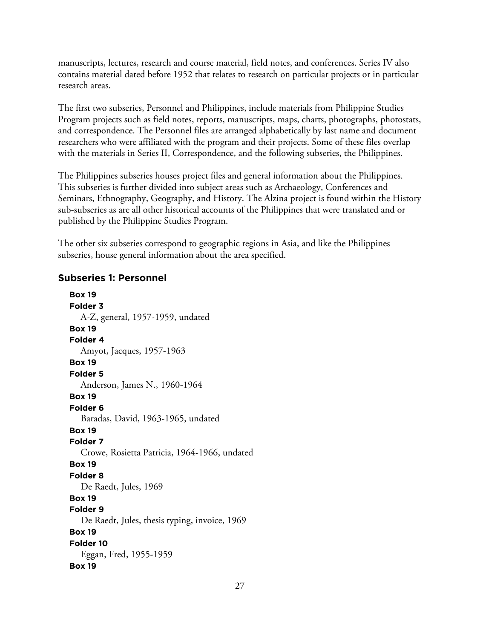manuscripts, lectures, research and course material, field notes, and conferences. Series IV also contains material dated before 1952 that relates to research on particular projects or in particular research areas.

The first two subseries, Personnel and Philippines, include materials from Philippine Studies Program projects such as field notes, reports, manuscripts, maps, charts, photographs, photostats, and correspondence. The Personnel files are arranged alphabetically by last name and document researchers who were affiliated with the program and their projects. Some of these files overlap with the materials in Series II, Correspondence, and the following subseries, the Philippines.

The Philippines subseries houses project files and general information about the Philippines. This subseries is further divided into subject areas such as Archaeology, Conferences and Seminars, Ethnography, Geography, and History. The Alzina project is found within the History sub-subseries as are all other historical accounts of the Philippines that were translated and or published by the Philippine Studies Program.

The other six subseries correspond to geographic regions in Asia, and like the Philippines subseries, house general information about the area specified.

### **Subseries 1: Personnel**

**Box 19 Folder 3** A-Z, general, 1957-1959, undated **Box 19 Folder 4** Amyot, Jacques, 1957-1963 **Box 19 Folder 5** Anderson, James N., 1960-1964 **Box 19 Folder 6** Baradas, David, 1963-1965, undated **Box 19 Folder 7** Crowe, Rosietta Patricia, 1964-1966, undated **Box 19 Folder 8** De Raedt, Jules, 1969 **Box 19 Folder 9** De Raedt, Jules, thesis typing, invoice, 1969 **Box 19 Folder 10** Eggan, Fred, 1955-1959 **Box 19**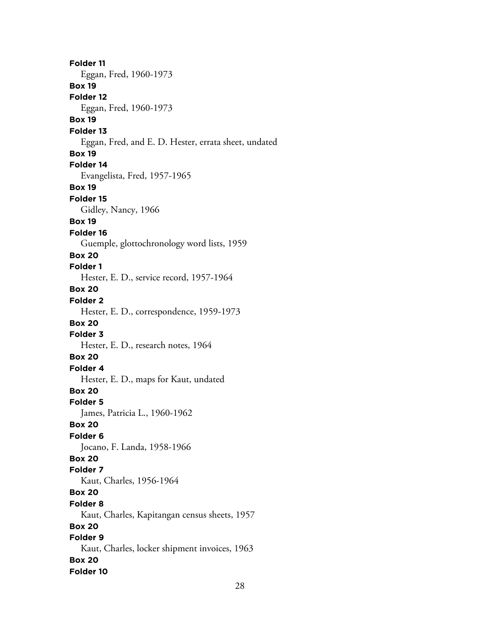**Folder 11** Eggan, Fred, 1960-1973 **Box 19 Folder 12** Eggan, Fred, 1960-1973 **Box 19 Folder 13** Eggan, Fred, and E. D. Hester, errata sheet, undated **Box 19 Folder 14** Evangelista, Fred, 1957-1965 **Box 19 Folder 15** Gidley, Nancy, 1966 **Box 19 Folder 16** Guemple, glottochronology word lists, 1959 **Box 20 Folder 1** Hester, E. D., service record, 1957-1964 **Box 20 Folder 2** Hester, E. D., correspondence, 1959-1973 **Box 20 Folder 3** Hester, E. D., research notes, 1964 **Box 20 Folder 4** Hester, E. D., maps for Kaut, undated **Box 20 Folder 5** James, Patricia L., 1960-1962 **Box 20 Folder 6** Jocano, F. Landa, 1958-1966 **Box 20 Folder 7** Kaut, Charles, 1956-1964 **Box 20 Folder 8** Kaut, Charles, Kapitangan census sheets, 1957 **Box 20 Folder 9** Kaut, Charles, locker shipment invoices, 1963 **Box 20 Folder 10**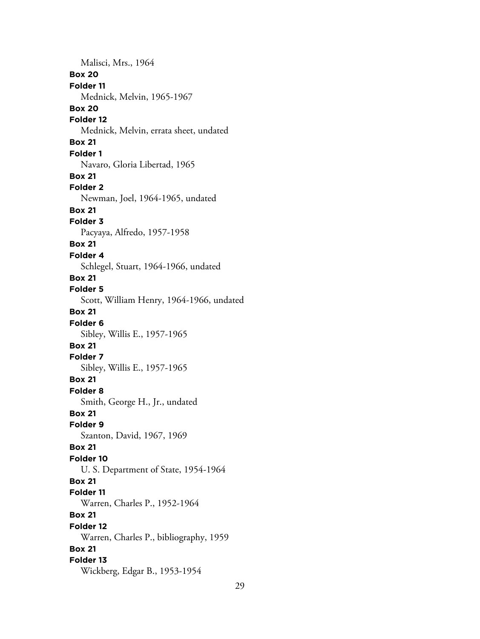Malisci, Mrs., 1964 **Box 20 Folder 11** Mednick, Melvin, 1965-1967 **Box 20 Folder 12** Mednick, Melvin, errata sheet, undated **Box 21 Folder 1** Navaro, Gloria Libertad, 1965 **Box 21 Folder 2** Newman, Joel, 1964-1965, undated **Box 21 Folder 3** Pacyaya, Alfredo, 1957-1958 **Box 21 Folder 4** Schlegel, Stuart, 1964-1966, undated **Box 21 Folder 5** Scott, William Henry, 1964-1966, undated **Box 21 Folder 6** Sibley, Willis E., 1957-1965 **Box 21 Folder 7** Sibley, Willis E., 1957-1965 **Box 21 Folder 8** Smith, George H., Jr., undated **Box 21 Folder 9** Szanton, David, 1967, 1969 **Box 21 Folder 10** U. S. Department of State, 1954-1964 **Box 21 Folder 11** Warren, Charles P., 1952-1964 **Box 21 Folder 12** Warren, Charles P., bibliography, 1959 **Box 21 Folder 13** Wickberg, Edgar B., 1953-1954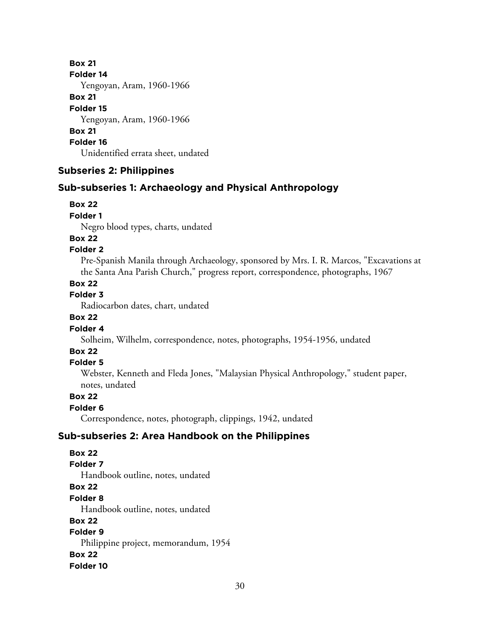**Box 21 Folder 14** Yengoyan, Aram, 1960-1966 **Box 21 Folder 15** Yengoyan, Aram, 1960-1966 **Box 21 Folder 16** Unidentified errata sheet, undated

### **Subseries 2: Philippines**

### **Sub-subseries 1: Archaeology and Physical Anthropology**

#### **Box 22**

**Folder 1**

Negro blood types, charts, undated

# **Box 22**

### **Folder 2**

Pre-Spanish Manila through Archaeology, sponsored by Mrs. I. R. Marcos, "Excavations at the Santa Ana Parish Church," progress report, correspondence, photographs, 1967

#### **Box 22**

### **Folder 3**

Radiocarbon dates, chart, undated

### **Box 22**

### **Folder 4**

Solheim, Wilhelm, correspondence, notes, photographs, 1954-1956, undated

# **Box 22**

### **Folder 5**

Webster, Kenneth and Fleda Jones, "Malaysian Physical Anthropology," student paper, notes, undated

# **Box 22**

# **Folder 6**

Correspondence, notes, photograph, clippings, 1942, undated

### **Sub-subseries 2: Area Handbook on the Philippines**

**Box 22 Folder 7** Handbook outline, notes, undated **Box 22 Folder 8** Handbook outline, notes, undated **Box 22 Folder 9** Philippine project, memorandum, 1954 **Box 22 Folder 10**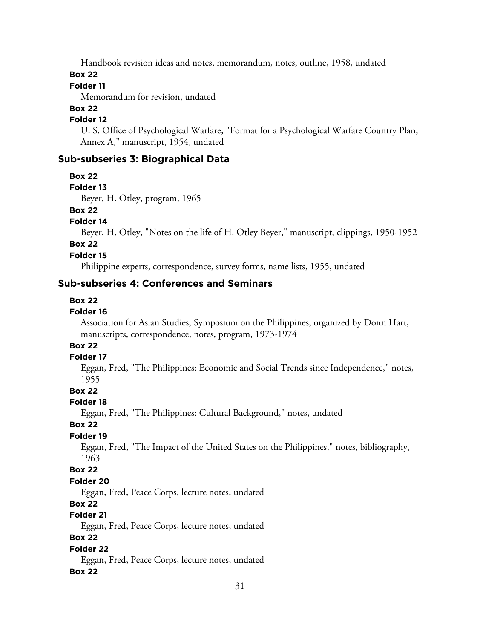Handbook revision ideas and notes, memorandum, notes, outline, 1958, undated

#### **Box 22**

# **Folder 11**

Memorandum for revision, undated

### **Box 22**

### **Folder 12**

U. S. Office of Psychological Warfare, "Format for a Psychological Warfare Country Plan, Annex A," manuscript, 1954, undated

### **Sub-subseries 3: Biographical Data**

**Box 22**

#### **Folder 13**

Beyer, H. Otley, program, 1965

# **Box 22**

**Folder 14**

Beyer, H. Otley, "Notes on the life of H. Otley Beyer," manuscript, clippings, 1950-1952

# **Box 22**

**Folder 15**

Philippine experts, correspondence, survey forms, name lists, 1955, undated

### **Sub-subseries 4: Conferences and Seminars**

#### **Box 22**

### **Folder 16**

Association for Asian Studies, Symposium on the Philippines, organized by Donn Hart, manuscripts, correspondence, notes, program, 1973-1974

# **Box 22**

#### **Folder 17**

Eggan, Fred, "The Philippines: Economic and Social Trends since Independence," notes, 1955

### **Box 22**

### **Folder 18**

Eggan, Fred, "The Philippines: Cultural Background," notes, undated

### **Box 22**

### **Folder 19**

Eggan, Fred, "The Impact of the United States on the Philippines," notes, bibliography, 1963

#### **Box 22**

### **Folder 20**

Eggan, Fred, Peace Corps, lecture notes, undated

### **Box 22**

### **Folder 21**

Eggan, Fred, Peace Corps, lecture notes, undated

### **Box 22**

### **Folder 22**

Eggan, Fred, Peace Corps, lecture notes, undated

### **Box 22**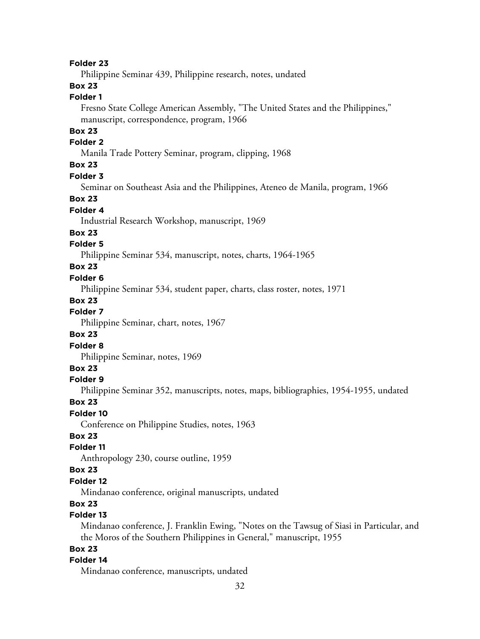#### **Folder 23**

Philippine Seminar 439, Philippine research, notes, undated

# **Box 23**

### **Folder 1**

Fresno State College American Assembly, "The United States and the Philippines," manuscript, correspondence, program, 1966

### **Box 23**

#### **Folder 2**

Manila Trade Pottery Seminar, program, clipping, 1968

### **Box 23**

#### **Folder 3**

Seminar on Southeast Asia and the Philippines, Ateneo de Manila, program, 1966

#### **Box 23**

#### **Folder 4**

Industrial Research Workshop, manuscript, 1969

#### **Box 23**

#### **Folder 5**

Philippine Seminar 534, manuscript, notes, charts, 1964-1965

#### **Box 23**

#### **Folder 6**

Philippine Seminar 534, student paper, charts, class roster, notes, 1971

#### **Box 23**

#### **Folder 7**

Philippine Seminar, chart, notes, 1967

#### **Box 23**

#### **Folder 8**

Philippine Seminar, notes, 1969

#### **Box 23**

#### **Folder 9**

Philippine Seminar 352, manuscripts, notes, maps, bibliographies, 1954-1955, undated

#### **Box 23**

### **Folder 10**

Conference on Philippine Studies, notes, 1963

### **Box 23**

### **Folder 11**

Anthropology 230, course outline, 1959

#### **Box 23**

### **Folder 12**

Mindanao conference, original manuscripts, undated

### **Box 23**

## **Folder 13**

Mindanao conference, J. Franklin Ewing, "Notes on the Tawsug of Siasi in Particular, and the Moros of the Southern Philippines in General," manuscript, 1955

### **Box 23**

### **Folder 14**

Mindanao conference, manuscripts, undated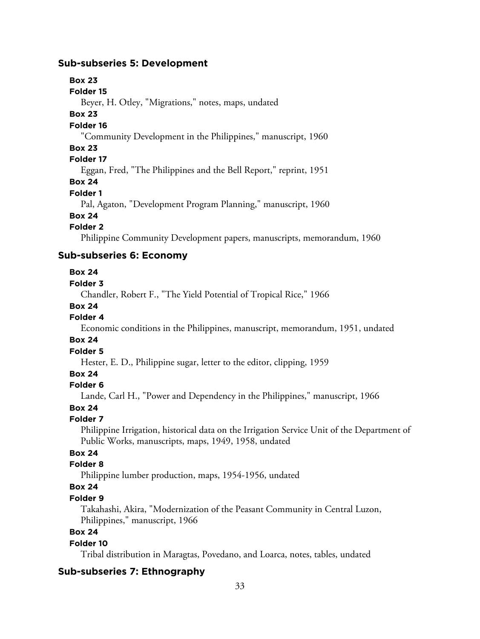### **Sub-subseries 5: Development**

### **Box 23**

#### **Folder 15**

Beyer, H. Otley, "Migrations," notes, maps, undated

#### **Box 23**

### **Folder 16**

"Community Development in the Philippines," manuscript, 1960

#### **Box 23**

#### **Folder 17**

Eggan, Fred, "The Philippines and the Bell Report," reprint, 1951

#### **Box 24**

#### **Folder 1**

Pal, Agaton, "Development Program Planning," manuscript, 1960

# **Box 24**

#### **Folder 2**

Philippine Community Development papers, manuscripts, memorandum, 1960

### **Sub-subseries 6: Economy**

#### **Box 24**

#### **Folder 3**

Chandler, Robert F., "The Yield Potential of Tropical Rice," 1966

# **Box 24**

### **Folder 4**

Economic conditions in the Philippines, manuscript, memorandum, 1951, undated

### **Box 24**

### **Folder 5**

Hester, E. D., Philippine sugar, letter to the editor, clipping, 1959

# **Box 24**

### **Folder 6**

Lande, Carl H., "Power and Dependency in the Philippines," manuscript, 1966

### **Box 24**

# **Folder 7**

Philippine Irrigation, historical data on the Irrigation Service Unit of the Department of Public Works, manuscripts, maps, 1949, 1958, undated

# **Box 24**

# **Folder 8**

Philippine lumber production, maps, 1954-1956, undated

# **Box 24**

### **Folder 9**

Takahashi, Akira, "Modernization of the Peasant Community in Central Luzon, Philippines," manuscript, 1966

# **Box 24**

#### **Folder 10**

Tribal distribution in Maragtas, Povedano, and Loarca, notes, tables, undated

### **Sub-subseries 7: Ethnography**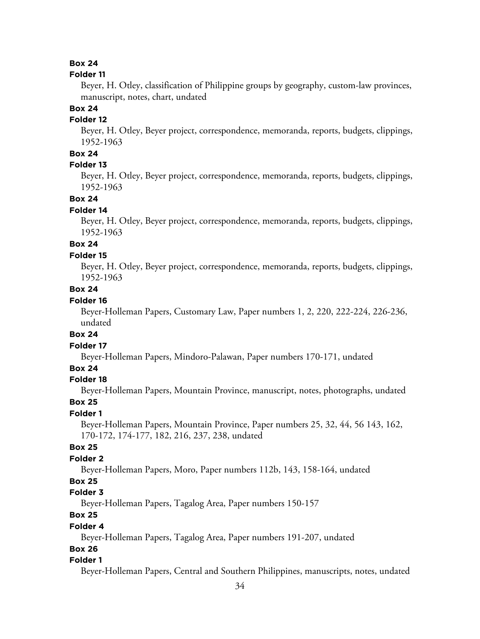#### **Folder 11**

Beyer, H. Otley, classification of Philippine groups by geography, custom-law provinces, manuscript, notes, chart, undated

#### **Box 24**

### **Folder 12**

Beyer, H. Otley, Beyer project, correspondence, memoranda, reports, budgets, clippings, 1952-1963

### **Box 24**

### **Folder 13**

Beyer, H. Otley, Beyer project, correspondence, memoranda, reports, budgets, clippings, 1952-1963

### **Box 24**

### **Folder 14**

Beyer, H. Otley, Beyer project, correspondence, memoranda, reports, budgets, clippings, 1952-1963

# **Box 24**

#### **Folder 15**

Beyer, H. Otley, Beyer project, correspondence, memoranda, reports, budgets, clippings, 1952-1963

### **Box 24**

### **Folder 16**

Beyer-Holleman Papers, Customary Law, Paper numbers 1, 2, 220, 222-224, 226-236, undated

### **Box 24**

## **Folder 17**

Beyer-Holleman Papers, Mindoro-Palawan, Paper numbers 170-171, undated

### **Box 24**

#### **Folder 18**

Beyer-Holleman Papers, Mountain Province, manuscript, notes, photographs, undated

#### **Box 25**

#### **Folder 1**

Beyer-Holleman Papers, Mountain Province, Paper numbers 25, 32, 44, 56 143, 162, 170-172, 174-177, 182, 216, 237, 238, undated

### **Box 25**

### **Folder 2**

Beyer-Holleman Papers, Moro, Paper numbers 112b, 143, 158-164, undated

# **Box 25**

#### **Folder 3**

Beyer-Holleman Papers, Tagalog Area, Paper numbers 150-157

# **Box 25**

#### **Folder 4**

Beyer-Holleman Papers, Tagalog Area, Paper numbers 191-207, undated

#### **Box 26**

#### **Folder 1**

Beyer-Holleman Papers, Central and Southern Philippines, manuscripts, notes, undated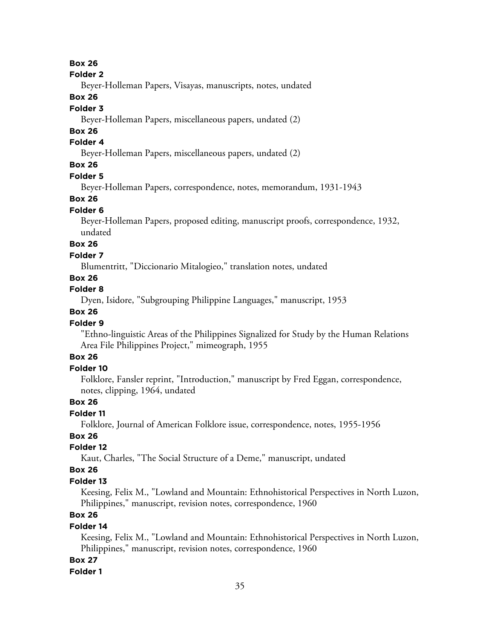#### **Folder 2**

Beyer-Holleman Papers, Visayas, manuscripts, notes, undated

### **Box 26**

### **Folder 3**

Beyer-Holleman Papers, miscellaneous papers, undated (2)

### **Box 26**

### **Folder 4**

Beyer-Holleman Papers, miscellaneous papers, undated (2)

# **Box 26**

#### **Folder 5**

Beyer-Holleman Papers, correspondence, notes, memorandum, 1931-1943

### **Box 26**

#### **Folder 6**

Beyer-Holleman Papers, proposed editing, manuscript proofs, correspondence, 1932, undated

# **Box 26**

#### **Folder 7**

Blumentritt, "Diccionario Mitalogieo," translation notes, undated

### **Box 26**

# **Folder 8**

Dyen, Isidore, "Subgrouping Philippine Languages," manuscript, 1953

### **Box 26**

#### **Folder 9**

"Ethno-linguistic Areas of the Philippines Signalized for Study by the Human Relations Area File Philippines Project," mimeograph, 1955

### **Box 26**

### **Folder 10**

Folklore, Fansler reprint, "Introduction," manuscript by Fred Eggan, correspondence, notes, clipping, 1964, undated

### **Box 26**

### **Folder 11**

Folklore, Journal of American Folklore issue, correspondence, notes, 1955-1956

# **Box 26**

### **Folder 12**

Kaut, Charles, "The Social Structure of a Deme," manuscript, undated

### **Box 26**

#### **Folder 13**

Keesing, Felix M., "Lowland and Mountain: Ethnohistorical Perspectives in North Luzon, Philippines," manuscript, revision notes, correspondence, 1960

# **Box 26**

### **Folder 14**

Keesing, Felix M., "Lowland and Mountain: Ethnohistorical Perspectives in North Luzon, Philippines," manuscript, revision notes, correspondence, 1960

#### **Box 27**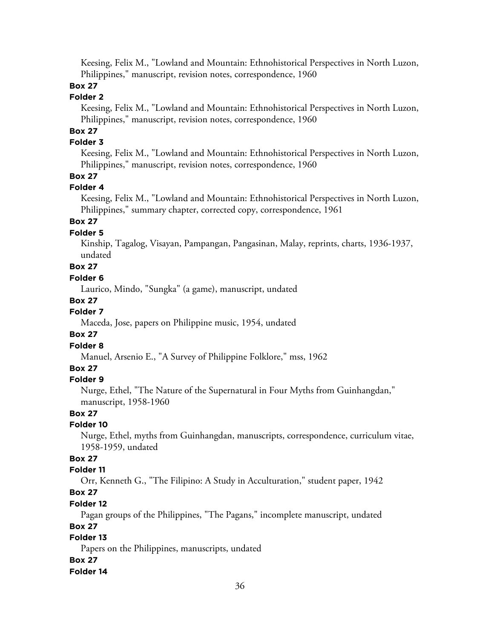Keesing, Felix M., "Lowland and Mountain: Ethnohistorical Perspectives in North Luzon, Philippines," manuscript, revision notes, correspondence, 1960

### **Box 27**

### **Folder 2**

Keesing, Felix M., "Lowland and Mountain: Ethnohistorical Perspectives in North Luzon, Philippines," manuscript, revision notes, correspondence, 1960

# **Box 27**

### **Folder 3**

Keesing, Felix M., "Lowland and Mountain: Ethnohistorical Perspectives in North Luzon, Philippines," manuscript, revision notes, correspondence, 1960

### **Box 27**

#### **Folder 4**

Keesing, Felix M., "Lowland and Mountain: Ethnohistorical Perspectives in North Luzon, Philippines," summary chapter, corrected copy, correspondence, 1961

### **Box 27**

### **Folder 5**

Kinship, Tagalog, Visayan, Pampangan, Pangasinan, Malay, reprints, charts, 1936-1937, undated

# **Box 27**

### **Folder 6**

Laurico, Mindo, "Sungka" (a game), manuscript, undated

#### **Box 27**

#### **Folder 7**

Maceda, Jose, papers on Philippine music, 1954, undated

### **Box 27**

### **Folder 8**

Manuel, Arsenio E., "A Survey of Philippine Folklore," mss, 1962

### **Box 27**

### **Folder 9**

Nurge, Ethel, "The Nature of the Supernatural in Four Myths from Guinhangdan," manuscript, 1958-1960

### **Box 27**

### **Folder 10**

Nurge, Ethel, myths from Guinhangdan, manuscripts, correspondence, curriculum vitae, 1958-1959, undated

### **Box 27**

### **Folder 11**

Orr, Kenneth G., "The Filipino: A Study in Acculturation," student paper, 1942

# **Box 27**

### **Folder 12**

Pagan groups of the Philippines, "The Pagans," incomplete manuscript, undated

### **Box 27**

# **Folder 13**

Papers on the Philippines, manuscripts, undated

### **Box 27**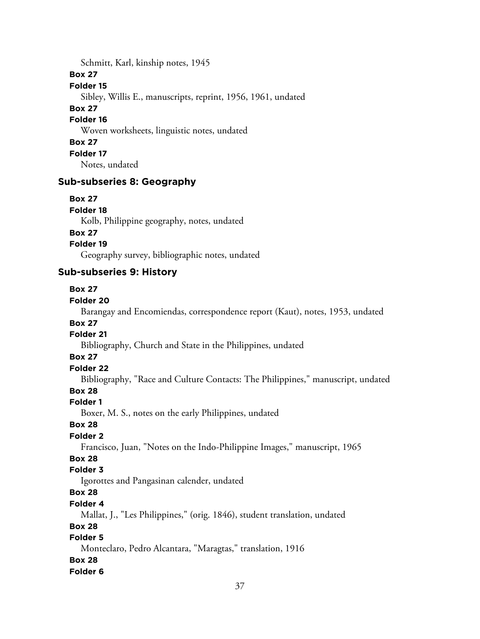Schmitt, Karl, kinship notes, 1945

**Box 27**

#### **Folder 15**

Sibley, Willis E., manuscripts, reprint, 1956, 1961, undated

### **Box 27**

**Folder 16**

Woven worksheets, linguistic notes, undated

### **Box 27**

**Folder 17**

Notes, undated

### **Sub-subseries 8: Geography**

### **Box 27**

**Folder 18**

Kolb, Philippine geography, notes, undated

### **Box 27**

**Folder 19**

Geography survey, bibliographic notes, undated

# **Sub-subseries 9: History**

### **Box 27**

### **Folder 20**

Barangay and Encomiendas, correspondence report (Kaut), notes, 1953, undated **Box 27**

# **Folder 21**

Bibliography, Church and State in the Philippines, undated

# **Box 27**

# **Folder 22**

Bibliography, "Race and Culture Contacts: The Philippines," manuscript, undated

# **Box 28**

# **Folder 1**

Boxer, M. S., notes on the early Philippines, undated

### **Box 28**

### **Folder 2**

Francisco, Juan, "Notes on the Indo-Philippine Images," manuscript, 1965

# **Box 28**

### **Folder 3**

Igorottes and Pangasinan calender, undated

# **Box 28**

### **Folder 4**

Mallat, J., "Les Philippines," (orig. 1846), student translation, undated

# **Box 28**

# **Folder 5**

Monteclaro, Pedro Alcantara, "Maragtas," translation, 1916

# **Box 28**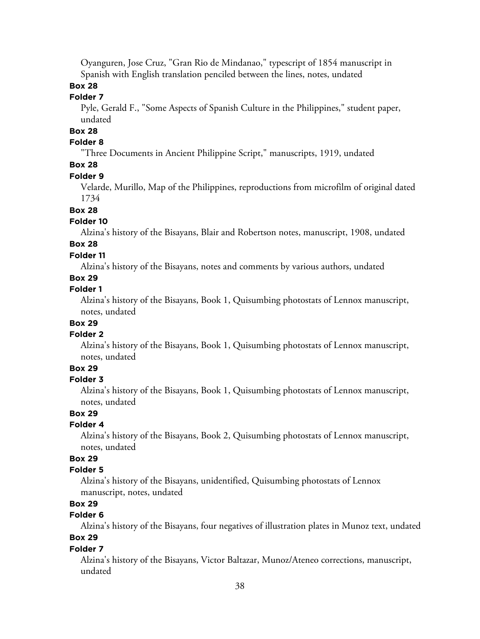Oyanguren, Jose Cruz, "Gran Rio de Mindanao," typescript of 1854 manuscript in Spanish with English translation penciled between the lines, notes, undated

# **Box 28**

### **Folder 7**

Pyle, Gerald F., "Some Aspects of Spanish Culture in the Philippines," student paper, undated

# **Box 28**

### **Folder 8**

"Three Documents in Ancient Philippine Script," manuscripts, 1919, undated

# **Box 28**

#### **Folder 9**

Velarde, Murillo, Map of the Philippines, reproductions from microfilm of original dated 1734

#### **Box 28**

#### **Folder 10**

Alzina's history of the Bisayans, Blair and Robertson notes, manuscript, 1908, undated

# **Box 28**

### **Folder 11**

Alzina's history of the Bisayans, notes and comments by various authors, undated

### **Box 29**

#### **Folder 1**

Alzina's history of the Bisayans, Book 1, Quisumbing photostats of Lennox manuscript, notes, undated

### **Box 29**

#### **Folder 2**

Alzina's history of the Bisayans, Book 1, Quisumbing photostats of Lennox manuscript, notes, undated

# **Box 29**

#### **Folder 3**

Alzina's history of the Bisayans, Book 1, Quisumbing photostats of Lennox manuscript, notes, undated

### **Box 29**

#### **Folder 4**

Alzina's history of the Bisayans, Book 2, Quisumbing photostats of Lennox manuscript, notes, undated

### **Box 29**

#### **Folder 5**

Alzina's history of the Bisayans, unidentified, Quisumbing photostats of Lennox manuscript, notes, undated

### **Box 29**

# **Folder 6**

Alzina's history of the Bisayans, four negatives of illustration plates in Munoz text, undated **Box 29**

#### **Folder 7**

Alzina's history of the Bisayans, Victor Baltazar, Munoz/Ateneo corrections, manuscript, undated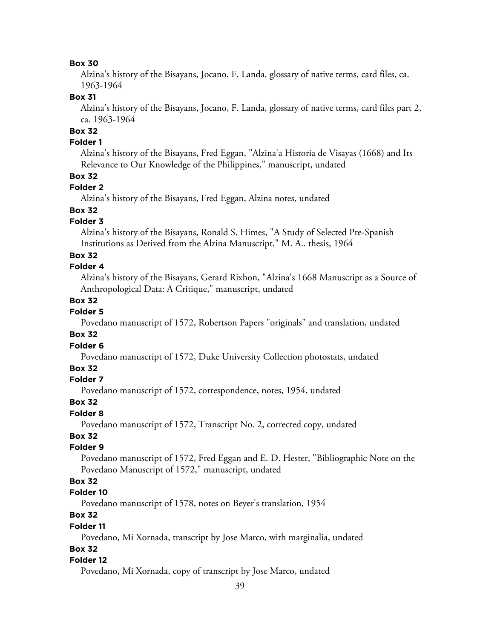Alzina's history of the Bisayans, Jocano, F. Landa, glossary of native terms, card files, ca. 1963-1964

### **Box 31**

Alzina's history of the Bisayans, Jocano, F. Landa, glossary of native terms, card files part 2, ca. 1963-1964

# **Box 32**

### **Folder 1**

Alzina's history of the Bisayans, Fred Eggan, "Alzina'a Historia de Visayas (1668) and Its Relevance to Our Knowledge of the Philippines," manuscript, undated

### **Box 32**

### **Folder 2**

Alzina's history of the Bisayans, Fred Eggan, Alzina notes, undated

#### **Box 32**

#### **Folder 3**

Alzina's history of the Bisayans, Ronald S. Himes, "A Study of Selected Pre-Spanish Institutions as Derived from the Alzina Manuscript," M. A.. thesis, 1964

#### **Box 32**

#### **Folder 4**

Alzina's history of the Bisayans, Gerard Rixhon, "Alzina's 1668 Manuscript as a Source of Anthropological Data: A Critique," manuscript, undated

#### **Box 32**

# **Folder 5**

Povedano manuscript of 1572, Robertson Papers "originals" and translation, undated

### **Box 32**

#### **Folder 6**

Povedano manuscript of 1572, Duke University Collection photostats, undated

### **Box 32**

#### **Folder 7**

Povedano manuscript of 1572, correspondence, notes, 1954, undated

#### **Box 32**

### **Folder 8**

Povedano manuscript of 1572, Transcript No. 2, corrected copy, undated

# **Box 32**

### **Folder 9**

Povedano manuscript of 1572, Fred Eggan and E. D. Hester, "Bibliographic Note on the Povedano Manuscript of 1572," manuscript, undated

### **Box 32**

### **Folder 10**

Povedano manuscript of 1578, notes on Beyer's translation, 1954

# **Box 32**

#### **Folder 11**

Povedano, Mi Xornada, transcript by Jose Marco, with marginalia, undated

#### **Box 32**

#### **Folder 12**

Povedano, Mi Xornada, copy of transcript by Jose Marco, undated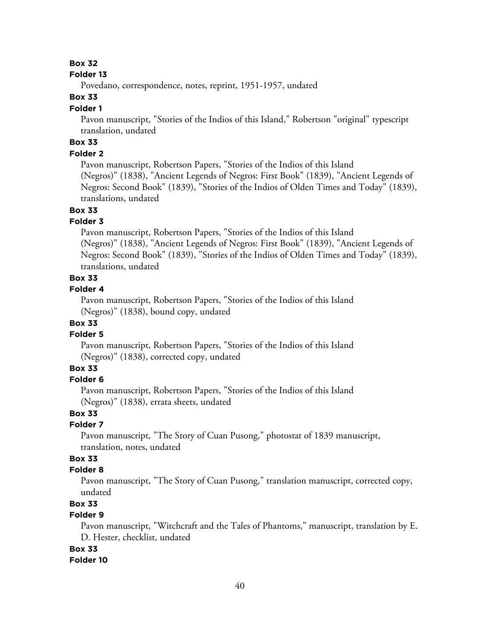#### **Folder 13**

Povedano, correspondence, notes, reprint, 1951-1957, undated

### **Box 33**

#### **Folder 1**

Pavon manuscript, "Stories of the Indios of this Island," Robertson "original" typescript translation, undated

# **Box 33**

### **Folder 2**

Pavon manuscript, Robertson Papers, "Stories of the Indios of this Island (Negros)" (1838), "Ancient Legends of Negros: First Book" (1839), "Ancient Legends of Negros: Second Book" (1839), "Stories of the Indios of Olden Times and Today" (1839), translations, undated

#### **Box 33**

### **Folder 3**

Pavon manuscript, Robertson Papers, "Stories of the Indios of this Island (Negros)" (1838), "Ancient Legends of Negros: First Book" (1839), "Ancient Legends of Negros: Second Book" (1839), "Stories of the Indios of Olden Times and Today" (1839), translations, undated

#### **Box 33**

#### **Folder 4**

Pavon manuscript, Robertson Papers, "Stories of the Indios of this Island (Negros)" (1838), bound copy, undated

### **Box 33**

#### **Folder 5**

Pavon manuscript, Robertson Papers, "Stories of the Indios of this Island (Negros)" (1838), corrected copy, undated

### **Box 33**

#### **Folder 6**

Pavon manuscript, Robertson Papers, "Stories of the Indios of this Island (Negros)" (1838), errata sheets, undated

#### **Box 33**

#### **Folder 7**

Pavon manuscript, "The Story of Cuan Pusong," photostat of 1839 manuscript, translation, notes, undated

# **Box 33**

#### **Folder 8**

Pavon manuscript, "The Story of Cuan Pusong," translation manuscript, corrected copy, undated

### **Box 33**

# **Folder 9**

Pavon manuscript, "Witchcraft and the Tales of Phantoms," manuscript, translation by E. D. Hester, checklist, undated

#### **Box 33**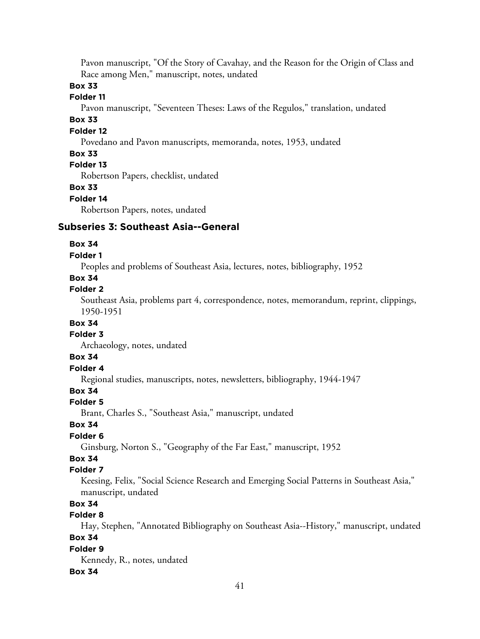Pavon manuscript, "Of the Story of Cavahay, and the Reason for the Origin of Class and Race among Men," manuscript, notes, undated

### **Box 33**

### **Folder 11**

Pavon manuscript, "Seventeen Theses: Laws of the Regulos," translation, undated

# **Box 33**

# **Folder 12**

Povedano and Pavon manuscripts, memoranda, notes, 1953, undated

### **Box 33**

### **Folder 13**

Robertson Papers, checklist, undated

#### **Box 33**

#### **Folder 14**

Robertson Papers, notes, undated

#### **Subseries 3: Southeast Asia--General**

#### **Box 34**

#### **Folder 1**

Peoples and problems of Southeast Asia, lectures, notes, bibliography, 1952

### **Box 34**

#### **Folder 2**

Southeast Asia, problems part 4, correspondence, notes, memorandum, reprint, clippings, 1950-1951

#### **Box 34**

### **Folder 3**

Archaeology, notes, undated

#### **Box 34**

# **Folder 4**

Regional studies, manuscripts, notes, newsletters, bibliography, 1944-1947

# **Box 34**

#### **Folder 5**

Brant, Charles S., "Southeast Asia," manuscript, undated

#### **Box 34**

# **Folder 6**

Ginsburg, Norton S., "Geography of the Far East," manuscript, 1952

# **Box 34**

# **Folder 7**

Keesing, Felix, "Social Science Research and Emerging Social Patterns in Southeast Asia," manuscript, undated

# **Box 34**

# **Folder 8**

Hay, Stephen, "Annotated Bibliography on Southeast Asia--History," manuscript, undated **Box 34**

#### **Folder 9**

Kennedy, R., notes, undated

#### **Box 34**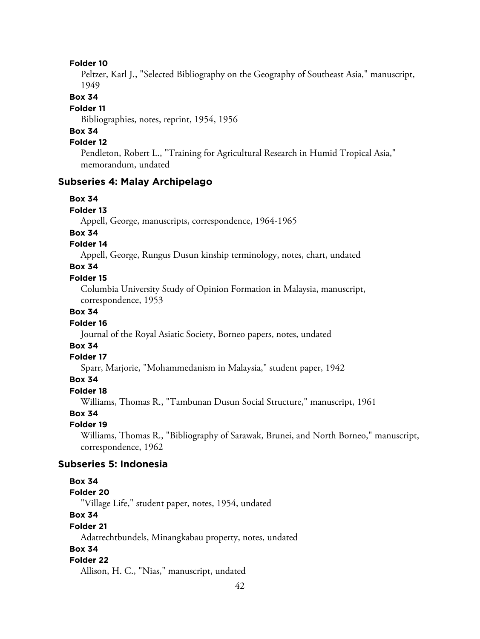#### **Folder 10**

Peltzer, Karl J., "Selected Bibliography on the Geography of Southeast Asia," manuscript, 1949

#### **Box 34**

#### **Folder 11**

Bibliographies, notes, reprint, 1954, 1956

# **Box 34**

# **Folder 12**

Pendleton, Robert L., "Training for Agricultural Research in Humid Tropical Asia," memorandum, undated

### **Subseries 4: Malay Archipelago**

#### **Box 34**

#### **Folder 13**

Appell, George, manuscripts, correspondence, 1964-1965

#### **Box 34**

### **Folder 14**

Appell, George, Rungus Dusun kinship terminology, notes, chart, undated

### **Box 34**

#### **Folder 15**

Columbia University Study of Opinion Formation in Malaysia, manuscript, correspondence, 1953

### **Box 34**

#### **Folder 16**

Journal of the Royal Asiatic Society, Borneo papers, notes, undated

### **Box 34**

#### **Folder 17**

Sparr, Marjorie, "Mohammedanism in Malaysia," student paper, 1942

#### **Box 34**

#### **Folder 18**

Williams, Thomas R., "Tambunan Dusun Social Structure," manuscript, 1961

### **Box 34**

#### **Folder 19**

Williams, Thomas R., "Bibliography of Sarawak, Brunei, and North Borneo," manuscript, correspondence, 1962

#### **Subseries 5: Indonesia**

#### **Box 34**

# **Folder 20**

"Village Life," student paper, notes, 1954, undated

## **Box 34**

#### **Folder 21**

Adatrechtbundels, Minangkabau property, notes, undated

### **Box 34**

### **Folder 22**

Allison, H. C., "Nias," manuscript, undated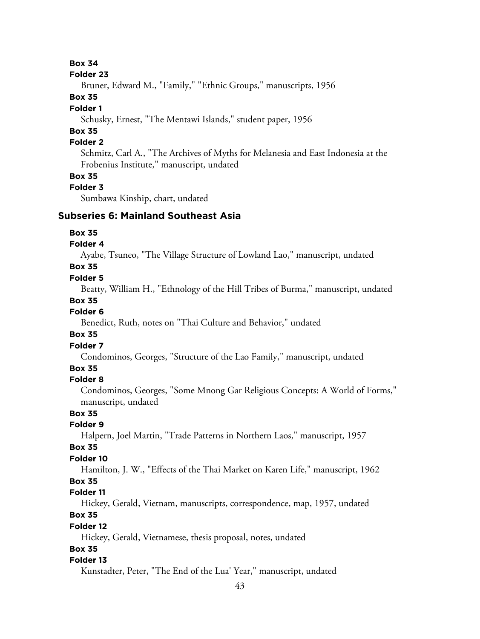#### **Folder 23**

Bruner, Edward M., "Family," "Ethnic Groups," manuscripts, 1956

### **Box 35**

### **Folder 1**

Schusky, Ernest, "The Mentawi Islands," student paper, 1956

# **Box 35**

### **Folder 2**

Schmitz, Carl A., "The Archives of Myths for Melanesia and East Indonesia at the Frobenius Institute," manuscript, undated

#### **Box 35**

#### **Folder 3**

Sumbawa Kinship, chart, undated

#### **Subseries 6: Mainland Southeast Asia**

#### **Box 35**

### **Folder 4**

Ayabe, Tsuneo, "The Village Structure of Lowland Lao," manuscript, undated

### **Box 35**

#### **Folder 5**

Beatty, William H., "Ethnology of the Hill Tribes of Burma," manuscript, undated

#### **Box 35**

### **Folder 6**

Benedict, Ruth, notes on "Thai Culture and Behavior," undated

### **Box 35**

### **Folder 7**

Condominos, Georges, "Structure of the Lao Family," manuscript, undated

### **Box 35**

#### **Folder 8**

Condominos, Georges, "Some Mnong Gar Religious Concepts: A World of Forms," manuscript, undated

### **Box 35**

# **Folder 9**

Halpern, Joel Martin, "Trade Patterns in Northern Laos," manuscript, 1957

### **Box 35**

### **Folder 10**

Hamilton, J. W., "Effects of the Thai Market on Karen Life," manuscript, 1962

#### **Box 35**

#### **Folder 11**

Hickey, Gerald, Vietnam, manuscripts, correspondence, map, 1957, undated

# **Box 35**

### **Folder 12**

Hickey, Gerald, Vietnamese, thesis proposal, notes, undated

#### **Box 35**

#### **Folder 13**

Kunstadter, Peter, "The End of the Lua' Year," manuscript, undated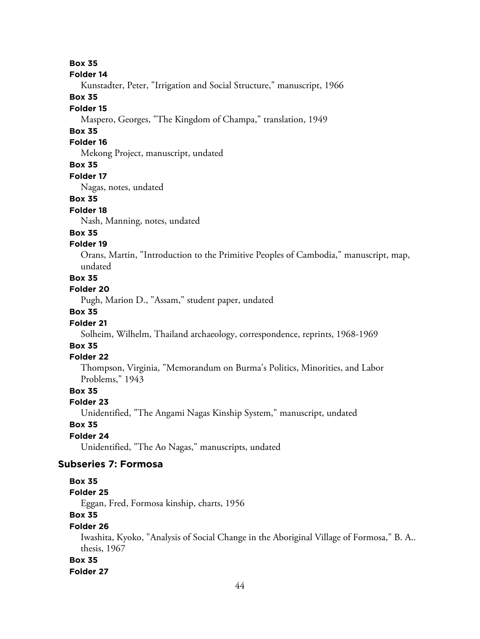#### **Folder 14**

Kunstadter, Peter, "Irrigation and Social Structure," manuscript, 1966

#### **Box 35**

#### **Folder 15**

Maspero, Georges, "The Kingdom of Champa," translation, 1949

### **Box 35**

### **Folder 16**

Mekong Project, manuscript, undated

### **Box 35**

#### **Folder 17**

Nagas, notes, undated

#### **Box 35**

#### **Folder 18**

Nash, Manning, notes, undated

#### **Box 35**

#### **Folder 19**

Orans, Martin, "Introduction to the Primitive Peoples of Cambodia," manuscript, map, undated

### **Box 35**

#### **Folder 20**

Pugh, Marion D., "Assam," student paper, undated

### **Box 35**

#### **Folder 21**

Solheim, Wilhelm, Thailand archaeology, correspondence, reprints, 1968-1969

### **Box 35**

#### **Folder 22**

Thompson, Virginia, "Memorandum on Burma's Politics, Minorities, and Labor Problems," 1943

### **Box 35**

#### **Folder 23**

Unidentified, "The Angami Nagas Kinship System," manuscript, undated

## **Box 35**

#### **Folder 24**

Unidentified, "The Ao Nagas," manuscripts, undated

# **Subseries 7: Formosa**

#### **Box 35**

### **Folder 25**

Eggan, Fred, Formosa kinship, charts, 1956

## **Box 35**

### **Folder 26**

Iwashita, Kyoko, "Analysis of Social Change in the Aboriginal Village of Formosa," B. A.. thesis, 1967

#### **Box 35**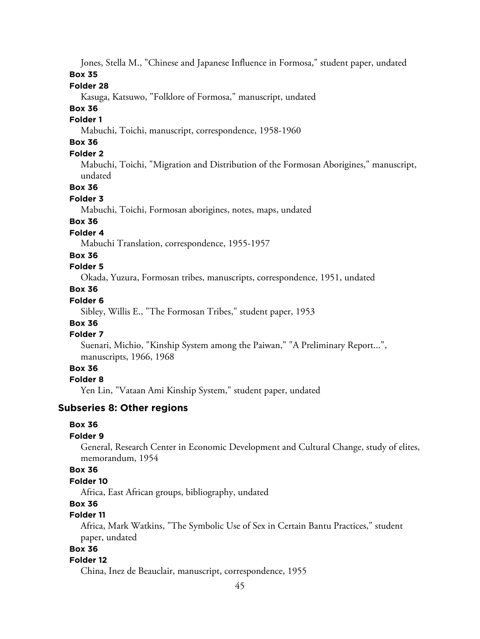Jones, Stella M., "Chinese and Japanese Influence in Formosa," student paper, undated

**Box 35**

### **Folder 28**

Kasuga, Katsuwo, "Folklore of Formosa," manuscript, undated

# **Box 36**

# **Folder 1**

Mabuchi, Toichi, manuscript, correspondence, 1958-1960

# **Box 36**

### **Folder 2**

Mabuchi, Toichi, "Migration and Distribution of the Formosan Aborigines," manuscript, undated

### **Box 36**

### **Folder 3**

Mabuchi, Toichi, Formosan aborigines, notes, maps, undated

### **Box 36**

### **Folder 4**

Mabuchi Translation, correspondence, 1955-1957

### **Box 36**

### **Folder 5**

Okada, Yuzura, Formosan tribes, manuscripts, correspondence, 1951, undated

### **Box 36**

# **Folder 6**

Sibley, Willis E., "The Formosan Tribes," student paper, 1953

# **Box 36**

# **Folder 7**

Suenari, Michio, "Kinship System among the Paiwan," "A Preliminary Report...", manuscripts, 1966, 1968

### **Box 36**

### **Folder 8**

Yen Lin, "Vataan Ami Kinship System," student paper, undated

# **Subseries 8: Other regions**

### **Box 36**

### **Folder 9**

General, Research Center in Economic Development and Cultural Change, study of elites, memorandum, 1954

# **Box 36**

### **Folder 10**

Africa, East African groups, bibliography, undated

# **Box 36**

# **Folder 11**

Africa, Mark Watkins, "The Symbolic Use of Sex in Certain Bantu Practices," student paper, undated

# **Box 36**

### **Folder 12**

China, Inez de Beauclair, manuscript, correspondence, 1955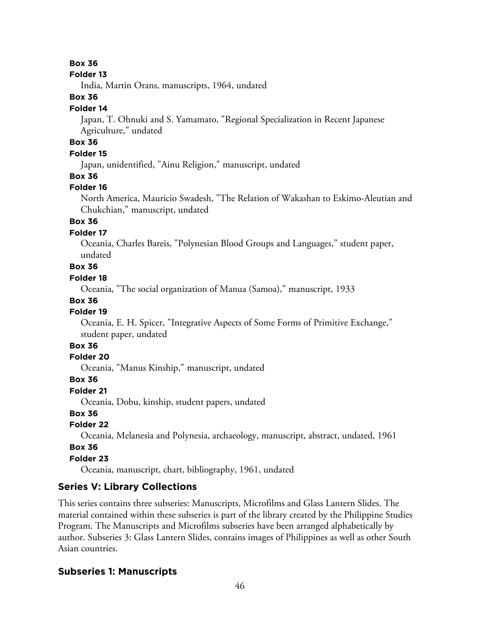#### **Folder 13**

India, Martin Orans, manuscripts, 1964, undated

### **Box 36**

#### **Folder 14**

Japan, T. Ohnuki and S. Yamamato, "Regional Specialization in Recent Japanese Agriculture," undated

# **Box 36**

### **Folder 15**

Japan, unidentified, "Ainu Religion," manuscript, undated

### **Box 36**

#### **Folder 16**

North America, Mauricio Swadesh, "The Relation of Wakashan to Eskimo-Aleutian and Chukchian," manuscript, undated

### **Box 36**

#### **Folder 17**

Oceania, Charles Bareis, "Polynesian Blood Groups and Languages," student paper, undated

# **Box 36**

### **Folder 18**

Oceania, "The social organization of Manua (Samoa)," manuscript, 1933

#### **Box 36**

### **Folder 19**

Oceania, E. H. Spicer, "Integrative Aspects of Some Forms of Primitive Exchange," student paper, undated

# **Box 36**

### **Folder 20**

Oceania, "Manus Kinship," manuscript, undated

#### **Box 36**

**Folder 21**

Oceania, Dobu, kinship, student papers, undated

### **Box 36**

#### **Folder 22**

Oceania, Melanesia and Polynesia, archaeology, manuscript, abstract, undated, 1961

#### **Box 36**

#### **Folder 23**

Oceania, manuscript, chart, bibliography, 1961, undated

### **Series V: Library Collections**

This series contains three subseries: Manuscripts, Microfilms and Glass Lantern Slides. The material contained within these subseries is part of the library created by the Philippine Studies Program. The Manuscripts and Microfilms subseries have been arranged alphabetically by author. Subseries 3: Glass Lantern Slides, contains images of Philippines as well as other South Asian countries.

#### **Subseries 1: Manuscripts**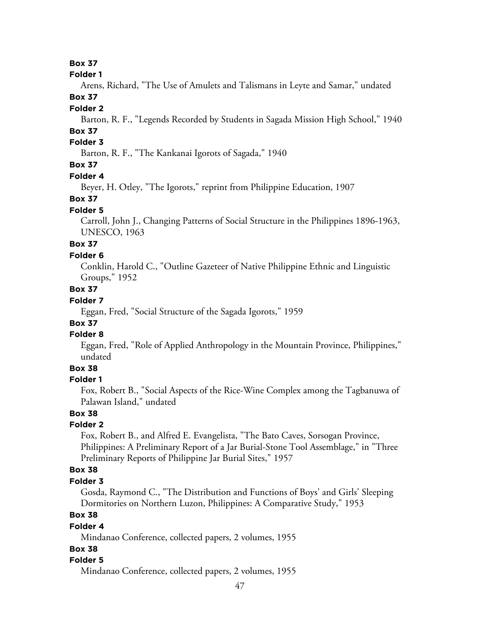#### **Folder 1**

Arens, Richard, "The Use of Amulets and Talismans in Leyte and Samar," undated **Box 37**

#### **Folder 2**

Barton, R. F., "Legends Recorded by Students in Sagada Mission High School," 1940

# **Box 37**

# **Folder 3**

Barton, R. F., "The Kankanai Igorots of Sagada," 1940

### **Box 37**

#### **Folder 4**

Beyer, H. Otley, "The Igorots," reprint from Philippine Education, 1907

#### **Box 37**

#### **Folder 5**

Carroll, John J., Changing Patterns of Social Structure in the Philippines 1896-1963, UNESCO, 1963

# **Box 37**

### **Folder 6**

Conklin, Harold C., "Outline Gazeteer of Native Philippine Ethnic and Linguistic Groups," 1952

### **Box 37**

# **Folder 7**

Eggan, Fred, "Social Structure of the Sagada Igorots," 1959

# **Box 37**

### **Folder 8**

Eggan, Fred, "Role of Applied Anthropology in the Mountain Province, Philippines," undated

# **Box 38**

### **Folder 1**

Fox, Robert B., "Social Aspects of the Rice-Wine Complex among the Tagbanuwa of Palawan Island," undated

### **Box 38**

### **Folder 2**

Fox, Robert B., and Alfred E. Evangelista, "The Bato Caves, Sorsogan Province, Philippines: A Preliminary Report of a Jar Burial-Stone Tool Assemblage," in "Three Preliminary Reports of Philippine Jar Burial Sites," 1957

### **Box 38**

#### **Folder 3**

Gosda, Raymond C., "The Distribution and Functions of Boys' and Girls' Sleeping Dormitories on Northern Luzon, Philippines: A Comparative Study," 1953

# **Box 38**

#### **Folder 4**

Mindanao Conference, collected papers, 2 volumes, 1955

### **Box 38**

### **Folder 5**

Mindanao Conference, collected papers, 2 volumes, 1955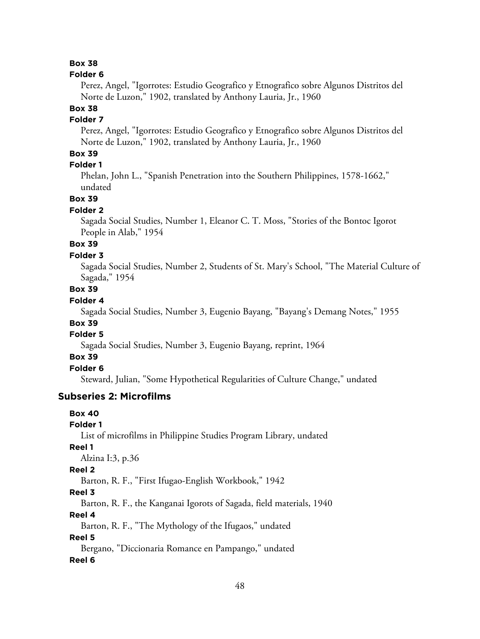#### **Folder 6**

Perez, Angel, "Igorrotes: Estudio Geografico y Etnografico sobre Algunos Distritos del Norte de Luzon," 1902, translated by Anthony Lauria, Jr., 1960

# **Box 38**

### **Folder 7**

Perez, Angel, "Igorrotes: Estudio Geografico y Etnografico sobre Algunos Distritos del Norte de Luzon," 1902, translated by Anthony Lauria, Jr., 1960

### **Box 39**

### **Folder 1**

Phelan, John L., "Spanish Penetration into the Southern Philippines, 1578-1662," undated

#### **Box 39**

#### **Folder 2**

Sagada Social Studies, Number 1, Eleanor C. T. Moss, "Stories of the Bontoc Igorot People in Alab," 1954

# **Box 39**

### **Folder 3**

Sagada Social Studies, Number 2, Students of St. Mary's School, "The Material Culture of Sagada," 1954

### **Box 39**

### **Folder 4**

Sagada Social Studies, Number 3, Eugenio Bayang, "Bayang's Demang Notes," 1955

# **Box 39**

### **Folder 5**

Sagada Social Studies, Number 3, Eugenio Bayang, reprint, 1964

### **Box 39**

# **Folder 6**

Steward, Julian, "Some Hypothetical Regularities of Culture Change," undated

#### **Subseries 2: Microfilms**

#### **Box 40**

#### **Folder 1**

List of microfilms in Philippine Studies Program Library, undated

#### **Reel 1**

Alzina I:3, p.36

#### **Reel 2**

Barton, R. F., "First Ifugao-English Workbook," 1942

#### **Reel 3**

Barton, R. F., the Kanganai Igorots of Sagada, field materials, 1940

**Reel 4**

Barton, R. F., "The Mythology of the Ifugaos," undated

#### **Reel 5**

Bergano, "Diccionaria Romance en Pampango," undated **Reel 6**

#### 48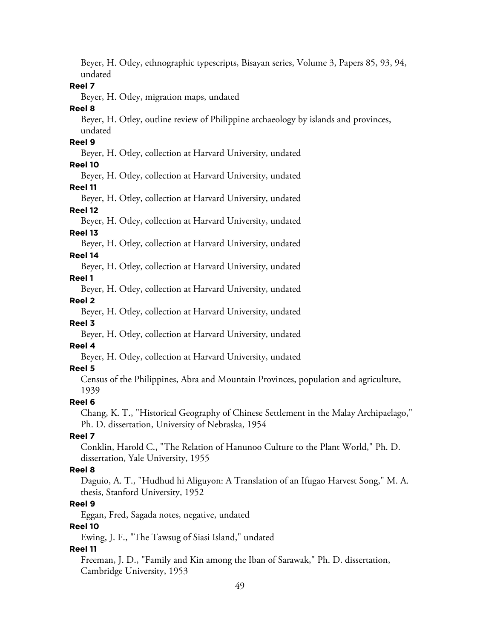Beyer, H. Otley, ethnographic typescripts, Bisayan series, Volume 3, Papers 85, 93, 94, undated

#### **Reel 7**

Beyer, H. Otley, migration maps, undated

**Reel 8**

Beyer, H. Otley, outline review of Philippine archaeology by islands and provinces, undated

#### **Reel 9**

Beyer, H. Otley, collection at Harvard University, undated

#### **Reel 10**

Beyer, H. Otley, collection at Harvard University, undated **Reel 11**

Beyer, H. Otley, collection at Harvard University, undated **Reel 12**

Beyer, H. Otley, collection at Harvard University, undated

#### **Reel 13**

Beyer, H. Otley, collection at Harvard University, undated

#### **Reel 14**

Beyer, H. Otley, collection at Harvard University, undated **Reel 1**

Beyer, H. Otley, collection at Harvard University, undated

#### **Reel 2**

Beyer, H. Otley, collection at Harvard University, undated

#### **Reel 3**

Beyer, H. Otley, collection at Harvard University, undated **Reel 4**

# Beyer, H. Otley, collection at Harvard University, undated

### **Reel 5**

Census of the Philippines, Abra and Mountain Provinces, population and agriculture, 1939

### **Reel 6**

Chang, K. T., "Historical Geography of Chinese Settlement in the Malay Archipaelago," Ph. D. dissertation, University of Nebraska, 1954

### **Reel 7**

Conklin, Harold C., "The Relation of Hanunoo Culture to the Plant World," Ph. D. dissertation, Yale University, 1955

#### **Reel 8**

Daguio, A. T., "Hudhud hi Aliguyon: A Translation of an Ifugao Harvest Song," M. A. thesis, Stanford University, 1952

### **Reel 9**

Eggan, Fred, Sagada notes, negative, undated

#### **Reel 10**

Ewing, J. F., "The Tawsug of Siasi Island," undated

### **Reel 11**

Freeman, J. D., "Family and Kin among the Iban of Sarawak," Ph. D. dissertation, Cambridge University, 1953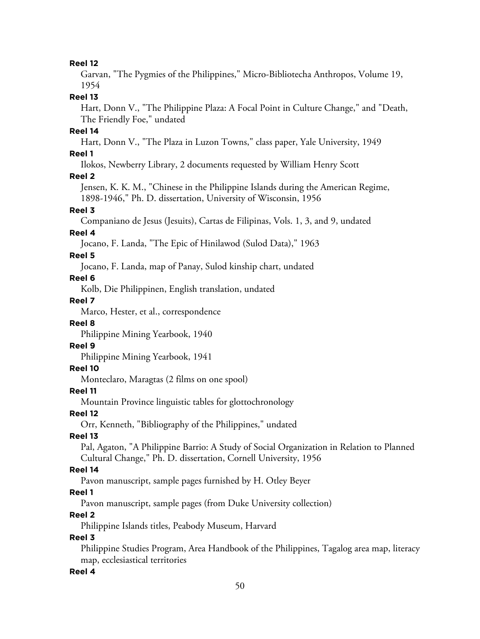#### **Reel 12**

Garvan, "The Pygmies of the Philippines," Micro-Bibliotecha Anthropos, Volume 19, 1954

#### **Reel 13**

Hart, Donn V., "The Philippine Plaza: A Focal Point in Culture Change," and "Death, The Friendly Foe," undated

### **Reel 14**

Hart, Donn V., "The Plaza in Luzon Towns," class paper, Yale University, 1949

#### **Reel 1**

Ilokos, Newberry Library, 2 documents requested by William Henry Scott

#### **Reel 2**

Jensen, K. K. M., "Chinese in the Philippine Islands during the American Regime, 1898-1946," Ph. D. dissertation, University of Wisconsin, 1956

#### **Reel 3**

Companiano de Jesus (Jesuits), Cartas de Filipinas, Vols. 1, 3, and 9, undated

#### **Reel 4**

Jocano, F. Landa, "The Epic of Hinilawod (Sulod Data)," 1963

#### **Reel 5**

Jocano, F. Landa, map of Panay, Sulod kinship chart, undated

#### **Reel 6**

Kolb, Die Philippinen, English translation, undated

#### **Reel 7**

Marco, Hester, et al., correspondence

#### **Reel 8**

Philippine Mining Yearbook, 1940

#### **Reel 9**

Philippine Mining Yearbook, 1941

### **Reel 10**

Monteclaro, Maragtas (2 films on one spool)

#### **Reel 11**

Mountain Province linguistic tables for glottochronology

**Reel 12**

Orr, Kenneth, "Bibliography of the Philippines," undated

#### **Reel 13**

Pal, Agaton, "A Philippine Barrio: A Study of Social Organization in Relation to Planned Cultural Change," Ph. D. dissertation, Cornell University, 1956

#### **Reel 14**

Pavon manuscript, sample pages furnished by H. Otley Beyer

#### **Reel 1**

Pavon manuscript, sample pages (from Duke University collection)

#### **Reel 2**

Philippine Islands titles, Peabody Museum, Harvard

#### **Reel 3**

Philippine Studies Program, Area Handbook of the Philippines, Tagalog area map, literacy map, ecclesiastical territories

#### **Reel 4**